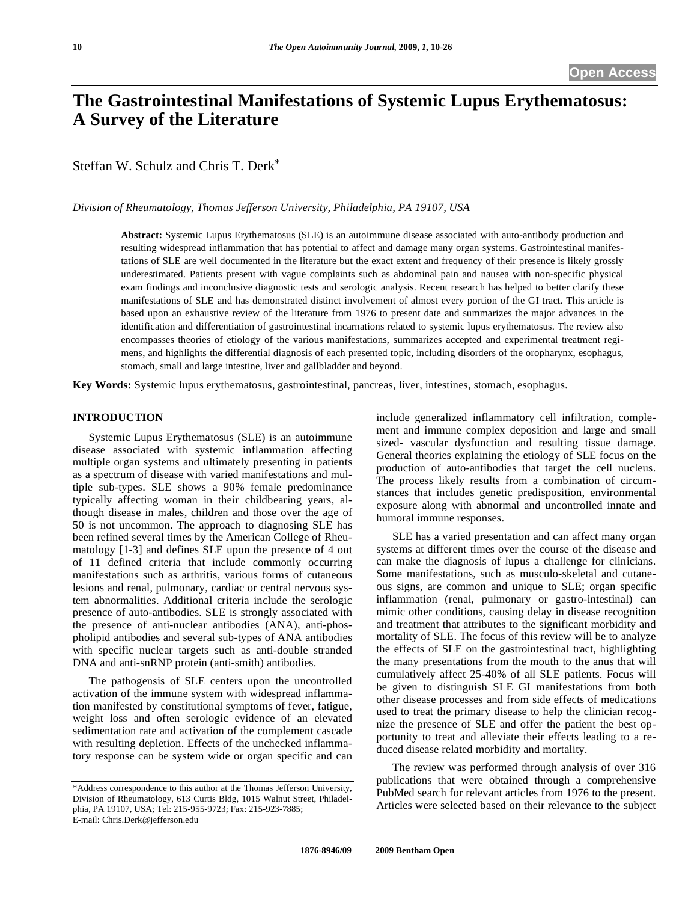# **The Gastrointestinal Manifestations of Systemic Lupus Erythematosus: A Survey of the Literature**

Steffan W. Schulz and Chris T. Derk\*

*Division of Rheumatology, Thomas Jefferson University, Philadelphia, PA 19107, USA* 

**Abstract:** Systemic Lupus Erythematosus (SLE) is an autoimmune disease associated with auto-antibody production and resulting widespread inflammation that has potential to affect and damage many organ systems. Gastrointestinal manifestations of SLE are well documented in the literature but the exact extent and frequency of their presence is likely grossly underestimated. Patients present with vague complaints such as abdominal pain and nausea with non-specific physical exam findings and inconclusive diagnostic tests and serologic analysis. Recent research has helped to better clarify these manifestations of SLE and has demonstrated distinct involvement of almost every portion of the GI tract. This article is based upon an exhaustive review of the literature from 1976 to present date and summarizes the major advances in the identification and differentiation of gastrointestinal incarnations related to systemic lupus erythematosus. The review also encompasses theories of etiology of the various manifestations, summarizes accepted and experimental treatment regimens, and highlights the differential diagnosis of each presented topic, including disorders of the oropharynx, esophagus, stomach, small and large intestine, liver and gallbladder and beyond.

**Key Words:** Systemic lupus erythematosus, gastrointestinal, pancreas, liver, intestines, stomach, esophagus.

### **INTRODUCTION**

 Systemic Lupus Erythematosus (SLE) is an autoimmune disease associated with systemic inflammation affecting multiple organ systems and ultimately presenting in patients as a spectrum of disease with varied manifestations and multiple sub-types. SLE shows a 90% female predominance typically affecting woman in their childbearing years, although disease in males, children and those over the age of 50 is not uncommon. The approach to diagnosing SLE has been refined several times by the American College of Rheumatology [1-3] and defines SLE upon the presence of 4 out of 11 defined criteria that include commonly occurring manifestations such as arthritis, various forms of cutaneous lesions and renal, pulmonary, cardiac or central nervous system abnormalities. Additional criteria include the serologic presence of auto-antibodies. SLE is strongly associated with the presence of anti-nuclear antibodies (ANA), anti-phospholipid antibodies and several sub-types of ANA antibodies with specific nuclear targets such as anti-double stranded DNA and anti-snRNP protein (anti-smith) antibodies.

 The pathogensis of SLE centers upon the uncontrolled activation of the immune system with widespread inflammation manifested by constitutional symptoms of fever, fatigue, weight loss and often serologic evidence of an elevated sedimentation rate and activation of the complement cascade with resulting depletion. Effects of the unchecked inflammatory response can be system wide or organ specific and can include generalized inflammatory cell infiltration, complement and immune complex deposition and large and small sized- vascular dysfunction and resulting tissue damage. General theories explaining the etiology of SLE focus on the production of auto-antibodies that target the cell nucleus. The process likely results from a combination of circumstances that includes genetic predisposition, environmental exposure along with abnormal and uncontrolled innate and humoral immune responses.

 SLE has a varied presentation and can affect many organ systems at different times over the course of the disease and can make the diagnosis of lupus a challenge for clinicians. Some manifestations, such as musculo-skeletal and cutaneous signs, are common and unique to SLE; organ specific inflammation (renal, pulmonary or gastro-intestinal) can mimic other conditions, causing delay in disease recognition and treatment that attributes to the significant morbidity and mortality of SLE. The focus of this review will be to analyze the effects of SLE on the gastrointestinal tract, highlighting the many presentations from the mouth to the anus that will cumulatively affect 25-40% of all SLE patients. Focus will be given to distinguish SLE GI manifestations from both other disease processes and from side effects of medications used to treat the primary disease to help the clinician recognize the presence of SLE and offer the patient the best opportunity to treat and alleviate their effects leading to a reduced disease related morbidity and mortality.

 The review was performed through analysis of over 316 publications that were obtained through a comprehensive PubMed search for relevant articles from 1976 to the present. Articles were selected based on their relevance to the subject

<sup>\*</sup>Address correspondence to this author at the Thomas Jefferson University, Division of Rheumatology, 613 Curtis Bldg, 1015 Walnut Street, Philadelphia, PA 19107, USA; Tel: 215-955-9723; Fax: 215-923-7885; E-mail: Chris.Derk@jefferson.edu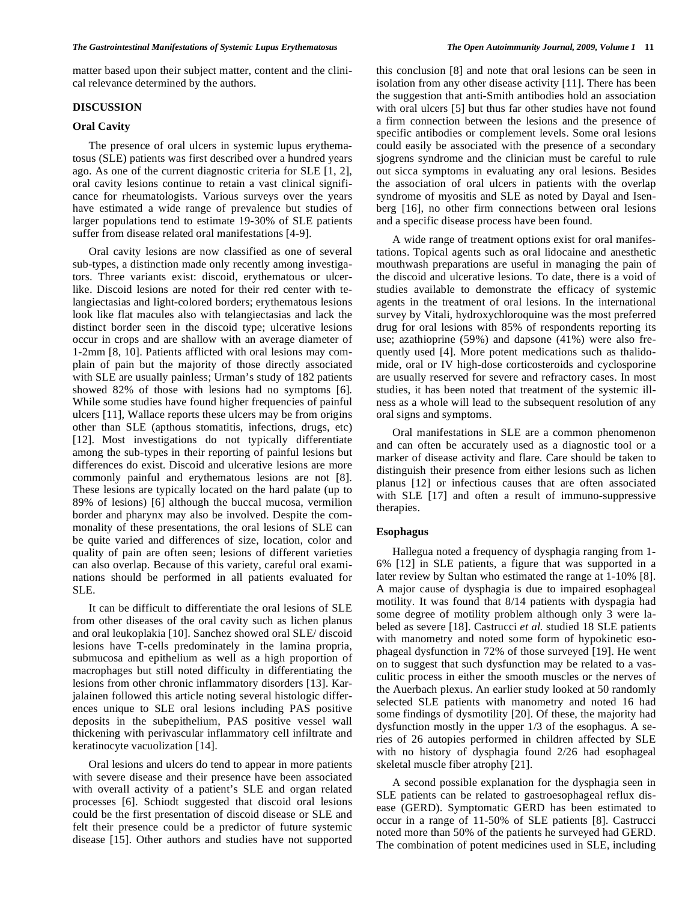matter based upon their subject matter, content and the clinical relevance determined by the authors.

# **DISCUSSION**

# **Oral Cavity**

 The presence of oral ulcers in systemic lupus erythematosus (SLE) patients was first described over a hundred years ago. As one of the current diagnostic criteria for SLE [1, 2], oral cavity lesions continue to retain a vast clinical significance for rheumatologists. Various surveys over the years have estimated a wide range of prevalence but studies of larger populations tend to estimate 19-30% of SLE patients suffer from disease related oral manifestations [4-9].

 Oral cavity lesions are now classified as one of several sub-types, a distinction made only recently among investigators. Three variants exist: discoid, erythematous or ulcerlike. Discoid lesions are noted for their red center with telangiectasias and light-colored borders; erythematous lesions look like flat macules also with telangiectasias and lack the distinct border seen in the discoid type; ulcerative lesions occur in crops and are shallow with an average diameter of 1-2mm [8, 10]. Patients afflicted with oral lesions may complain of pain but the majority of those directly associated with SLE are usually painless; Urman's study of 182 patients showed 82% of those with lesions had no symptoms [6]. While some studies have found higher frequencies of painful ulcers [11], Wallace reports these ulcers may be from origins other than SLE (apthous stomatitis, infections, drugs, etc) [12]. Most investigations do not typically differentiate among the sub-types in their reporting of painful lesions but differences do exist. Discoid and ulcerative lesions are more commonly painful and erythematous lesions are not [8]. These lesions are typically located on the hard palate (up to 89% of lesions) [6] although the buccal mucosa, vermilion border and pharynx may also be involved. Despite the commonality of these presentations, the oral lesions of SLE can be quite varied and differences of size, location, color and quality of pain are often seen; lesions of different varieties can also overlap. Because of this variety, careful oral examinations should be performed in all patients evaluated for SLE.

 It can be difficult to differentiate the oral lesions of SLE from other diseases of the oral cavity such as lichen planus and oral leukoplakia [10]. Sanchez showed oral SLE/ discoid lesions have T-cells predominately in the lamina propria, submucosa and epithelium as well as a high proportion of macrophages but still noted difficulty in differentiating the lesions from other chronic inflammatory disorders [13]. Karjalainen followed this article noting several histologic differences unique to SLE oral lesions including PAS positive deposits in the subepithelium, PAS positive vessel wall thickening with perivascular inflammatory cell infiltrate and keratinocyte vacuolization [14].

 Oral lesions and ulcers do tend to appear in more patients with severe disease and their presence have been associated with overall activity of a patient's SLE and organ related processes [6]. Schiodt suggested that discoid oral lesions could be the first presentation of discoid disease or SLE and felt their presence could be a predictor of future systemic disease [15]. Other authors and studies have not supported this conclusion [8] and note that oral lesions can be seen in isolation from any other disease activity [11]. There has been the suggestion that anti-Smith antibodies hold an association with oral ulcers [5] but thus far other studies have not found a firm connection between the lesions and the presence of specific antibodies or complement levels. Some oral lesions could easily be associated with the presence of a secondary sjogrens syndrome and the clinician must be careful to rule out sicca symptoms in evaluating any oral lesions. Besides the association of oral ulcers in patients with the overlap syndrome of myositis and SLE as noted by Dayal and Isenberg [16], no other firm connections between oral lesions and a specific disease process have been found.

 A wide range of treatment options exist for oral manifestations. Topical agents such as oral lidocaine and anesthetic mouthwash preparations are useful in managing the pain of the discoid and ulcerative lesions. To date, there is a void of studies available to demonstrate the efficacy of systemic agents in the treatment of oral lesions. In the international survey by Vitali, hydroxychloroquine was the most preferred drug for oral lesions with 85% of respondents reporting its use; azathioprine (59%) and dapsone (41%) were also frequently used [4]. More potent medications such as thalidomide, oral or IV high-dose corticosteroids and cyclosporine are usually reserved for severe and refractory cases. In most studies, it has been noted that treatment of the systemic illness as a whole will lead to the subsequent resolution of any oral signs and symptoms.

 Oral manifestations in SLE are a common phenomenon and can often be accurately used as a diagnostic tool or a marker of disease activity and flare. Care should be taken to distinguish their presence from either lesions such as lichen planus [12] or infectious causes that are often associated with SLE [17] and often a result of immuno-suppressive therapies.

# **Esophagus**

 Hallegua noted a frequency of dysphagia ranging from 1- 6% [12] in SLE patients, a figure that was supported in a later review by Sultan who estimated the range at 1-10% [8]. A major cause of dysphagia is due to impaired esophageal motility. It was found that 8/14 patients with dyspagia had some degree of motility problem although only 3 were labeled as severe [18]. Castrucci *et al.* studied 18 SLE patients with manometry and noted some form of hypokinetic esophageal dysfunction in 72% of those surveyed [19]. He went on to suggest that such dysfunction may be related to a vasculitic process in either the smooth muscles or the nerves of the Auerbach plexus. An earlier study looked at 50 randomly selected SLE patients with manometry and noted 16 had some findings of dysmotility [20]. Of these, the majority had dysfunction mostly in the upper 1/3 of the esophagus. A series of 26 autopies performed in children affected by SLE with no history of dysphagia found 2/26 had esophageal skeletal muscle fiber atrophy [21].

 A second possible explanation for the dysphagia seen in SLE patients can be related to gastroesophageal reflux disease (GERD). Symptomatic GERD has been estimated to occur in a range of 11-50% of SLE patients [8]. Castrucci noted more than 50% of the patients he surveyed had GERD. The combination of potent medicines used in SLE, including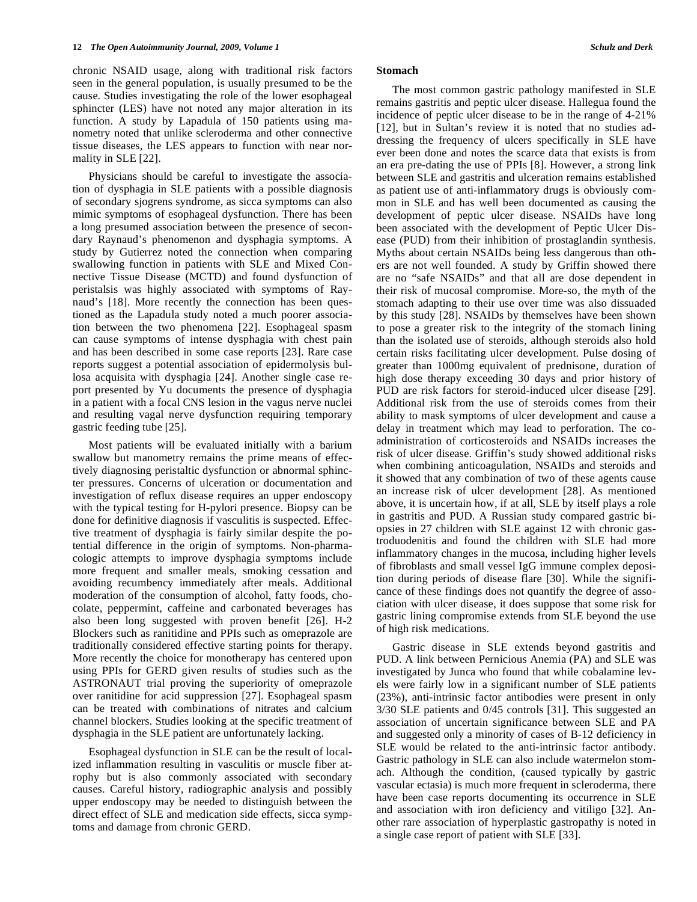chronic NSAID usage, along with traditional risk factors seen in the general population, is usually presumed to be the cause. Studies investigating the role of the lower esophageal sphincter (LES) have not noted any major alteration in its function. A study by Lapadula of 150 patients using manometry noted that unlike scleroderma and other connective tissue diseases, the LES appears to function with near normality in SLE [22].

 Physicians should be careful to investigate the association of dysphagia in SLE patients with a possible diagnosis of secondary sjogrens syndrome, as sicca symptoms can also mimic symptoms of esophageal dysfunction. There has been a long presumed association between the presence of secondary Raynaud's phenomenon and dysphagia symptoms. A study by Gutierrez noted the connection when comparing swallowing function in patients with SLE and Mixed Connective Tissue Disease (MCTD) and found dysfunction of peristalsis was highly associated with symptoms of Raynaud's [18]. More recently the connection has been questioned as the Lapadula study noted a much poorer association between the two phenomena [22]. Esophageal spasm can cause symptoms of intense dysphagia with chest pain and has been described in some case reports [23]. Rare case reports suggest a potential association of epidermolysis bullosa acquisita with dysphagia [24]. Another single case report presented by Yu documents the presence of dysphagia in a patient with a focal CNS lesion in the vagus nerve nuclei and resulting vagal nerve dysfunction requiring temporary gastric feeding tube [25].

 Most patients will be evaluated initially with a barium swallow but manometry remains the prime means of effectively diagnosing peristaltic dysfunction or abnormal sphincter pressures. Concerns of ulceration or documentation and investigation of reflux disease requires an upper endoscopy with the typical testing for H-pylori presence. Biopsy can be done for definitive diagnosis if vasculitis is suspected. Effective treatment of dysphagia is fairly similar despite the potential difference in the origin of symptoms. Non-pharmacologic attempts to improve dysphagia symptoms include more frequent and smaller meals, smoking cessation and avoiding recumbency immediately after meals. Additional moderation of the consumption of alcohol, fatty foods, chocolate, peppermint, caffeine and carbonated beverages has also been long suggested with proven benefit [26]. H-2 Blockers such as ranitidine and PPIs such as omeprazole are traditionally considered effective starting points for therapy. More recently the choice for monotherapy has centered upon using PPIs for GERD given results of studies such as the ASTRONAUT trial proving the superiority of omeprazole over ranitidine for acid suppression [27]. Esophageal spasm can be treated with combinations of nitrates and calcium channel blockers. Studies looking at the specific treatment of dysphagia in the SLE patient are unfortunately lacking.

 Esophageal dysfunction in SLE can be the result of localized inflammation resulting in vasculitis or muscle fiber atrophy but is also commonly associated with secondary causes. Careful history, radiographic analysis and possibly upper endoscopy may be needed to distinguish between the direct effect of SLE and medication side effects, sicca symptoms and damage from chronic GERD.

#### **Stomach**

 The most common gastric pathology manifested in SLE remains gastritis and peptic ulcer disease. Hallegua found the incidence of peptic ulcer disease to be in the range of 4-21% [12], but in Sultan's review it is noted that no studies addressing the frequency of ulcers specifically in SLE have ever been done and notes the scarce data that exists is from an era pre-dating the use of PPIs [8]. However, a strong link between SLE and gastritis and ulceration remains established as patient use of anti-inflammatory drugs is obviously common in SLE and has well been documented as causing the development of peptic ulcer disease. NSAIDs have long been associated with the development of Peptic Ulcer Disease (PUD) from their inhibition of prostaglandin synthesis. Myths about certain NSAIDs being less dangerous than others are not well founded. A study by Griffin showed there are no "safe NSAIDs" and that all are dose dependent in their risk of mucosal compromise. More-so, the myth of the stomach adapting to their use over time was also dissuaded by this study [28]. NSAIDs by themselves have been shown to pose a greater risk to the integrity of the stomach lining than the isolated use of steroids, although steroids also hold certain risks facilitating ulcer development. Pulse dosing of greater than 1000mg equivalent of prednisone, duration of high dose therapy exceeding 30 days and prior history of PUD are risk factors for steroid-induced ulcer disease [29]. Additional risk from the use of steroids comes from their ability to mask symptoms of ulcer development and cause a delay in treatment which may lead to perforation. The coadministration of corticosteroids and NSAIDs increases the risk of ulcer disease. Griffin's study showed additional risks when combining anticoagulation, NSAIDs and steroids and it showed that any combination of two of these agents cause an increase risk of ulcer development [28]. As mentioned above, it is uncertain how, if at all, SLE by itself plays a role in gastritis and PUD. A Russian study compared gastric biopsies in 27 children with SLE against 12 with chronic gastroduodenitis and found the children with SLE had more inflammatory changes in the mucosa, including higher levels of fibroblasts and small vessel IgG immune complex deposition during periods of disease flare [30]. While the significance of these findings does not quantify the degree of association with ulcer disease, it does suppose that some risk for gastric lining compromise extends from SLE beyond the use of high risk medications.

 Gastric disease in SLE extends beyond gastritis and PUD. A link between Pernicious Anemia (PA) and SLE was investigated by Junca who found that while cobalamine levels were fairly low in a significant number of SLE patients (23%), anti-intrinsic factor antibodies were present in only 3/30 SLE patients and 0/45 controls [31]. This suggested an association of uncertain significance between SLE and PA and suggested only a minority of cases of B-12 deficiency in SLE would be related to the anti-intrinsic factor antibody. Gastric pathology in SLE can also include watermelon stomach. Although the condition, (caused typically by gastric vascular ectasia) is much more frequent in scleroderma, there have been case reports documenting its occurrence in SLE and association with iron deficiency and vitiligo [32]. Another rare association of hyperplastic gastropathy is noted in a single case report of patient with SLE [33].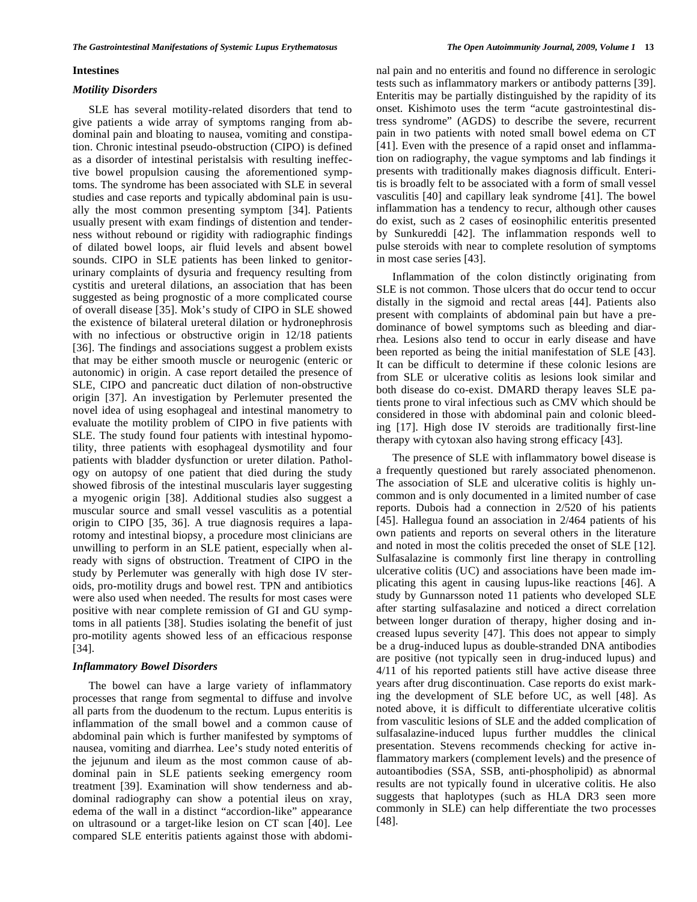# **Intestines**

## *Motility Disorders*

 SLE has several motility-related disorders that tend to give patients a wide array of symptoms ranging from abdominal pain and bloating to nausea, vomiting and constipation. Chronic intestinal pseudo-obstruction (CIPO) is defined as a disorder of intestinal peristalsis with resulting ineffective bowel propulsion causing the aforementioned symptoms. The syndrome has been associated with SLE in several studies and case reports and typically abdominal pain is usually the most common presenting symptom [34]. Patients usually present with exam findings of distention and tenderness without rebound or rigidity with radiographic findings of dilated bowel loops, air fluid levels and absent bowel sounds. CIPO in SLE patients has been linked to genitorurinary complaints of dysuria and frequency resulting from cystitis and ureteral dilations, an association that has been suggested as being prognostic of a more complicated course of overall disease [35]. Mok's study of CIPO in SLE showed the existence of bilateral ureteral dilation or hydronephrosis with no infectious or obstructive origin in 12/18 patients [36]. The findings and associations suggest a problem exists that may be either smooth muscle or neurogenic (enteric or autonomic) in origin. A case report detailed the presence of SLE, CIPO and pancreatic duct dilation of non-obstructive origin [37]. An investigation by Perlemuter presented the novel idea of using esophageal and intestinal manometry to evaluate the motility problem of CIPO in five patients with SLE. The study found four patients with intestinal hypomotility, three patients with esophageal dysmotility and four patients with bladder dysfunction or ureter dilation. Pathology on autopsy of one patient that died during the study showed fibrosis of the intestinal muscularis layer suggesting a myogenic origin [38]. Additional studies also suggest a muscular source and small vessel vasculitis as a potential origin to CIPO [35, 36]. A true diagnosis requires a laparotomy and intestinal biopsy, a procedure most clinicians are unwilling to perform in an SLE patient, especially when already with signs of obstruction. Treatment of CIPO in the study by Perlemuter was generally with high dose IV steroids, pro-motility drugs and bowel rest. TPN and antibiotics were also used when needed. The results for most cases were positive with near complete remission of GI and GU symptoms in all patients [38]. Studies isolating the benefit of just pro-motility agents showed less of an efficacious response [34].

# *Inflammatory Bowel Disorders*

 The bowel can have a large variety of inflammatory processes that range from segmental to diffuse and involve all parts from the duodenum to the rectum. Lupus enteritis is inflammation of the small bowel and a common cause of abdominal pain which is further manifested by symptoms of nausea, vomiting and diarrhea. Lee's study noted enteritis of the jejunum and ileum as the most common cause of abdominal pain in SLE patients seeking emergency room treatment [39]. Examination will show tenderness and abdominal radiography can show a potential ileus on xray, edema of the wall in a distinct "accordion-like" appearance on ultrasound or a target-like lesion on CT scan [40]. Lee compared SLE enteritis patients against those with abdominal pain and no enteritis and found no difference in serologic tests such as inflammatory markers or antibody patterns [39]. Enteritis may be partially distinguished by the rapidity of its onset. Kishimoto uses the term "acute gastrointestinal distress syndrome" (AGDS) to describe the severe, recurrent pain in two patients with noted small bowel edema on CT [41]. Even with the presence of a rapid onset and inflammation on radiography, the vague symptoms and lab findings it presents with traditionally makes diagnosis difficult. Enteritis is broadly felt to be associated with a form of small vessel vasculitis [40] and capillary leak syndrome [41]. The bowel inflammation has a tendency to recur, although other causes do exist, such as 2 cases of eosinophilic enteritis presented by Sunkureddi [42]. The inflammation responds well to pulse steroids with near to complete resolution of symptoms in most case series [43].

 Inflammation of the colon distinctly originating from SLE is not common. Those ulcers that do occur tend to occur distally in the sigmoid and rectal areas [44]. Patients also present with complaints of abdominal pain but have a predominance of bowel symptoms such as bleeding and diarrhea. Lesions also tend to occur in early disease and have been reported as being the initial manifestation of SLE [43]. It can be difficult to determine if these colonic lesions are from SLE or ulcerative colitis as lesions look similar and both disease do co-exist. DMARD therapy leaves SLE patients prone to viral infectious such as CMV which should be considered in those with abdominal pain and colonic bleeding [17]. High dose IV steroids are traditionally first-line therapy with cytoxan also having strong efficacy [43].

 The presence of SLE with inflammatory bowel disease is a frequently questioned but rarely associated phenomenon. The association of SLE and ulcerative colitis is highly uncommon and is only documented in a limited number of case reports. Dubois had a connection in 2/520 of his patients [45]. Hallegua found an association in 2/464 patients of his own patients and reports on several others in the literature and noted in most the colitis preceded the onset of SLE [12]. Sulfasalazine is commonly first line therapy in controlling ulcerative colitis (UC) and associations have been made implicating this agent in causing lupus-like reactions [46]. A study by Gunnarsson noted 11 patients who developed SLE after starting sulfasalazine and noticed a direct correlation between longer duration of therapy, higher dosing and increased lupus severity [47]. This does not appear to simply be a drug-induced lupus as double-stranded DNA antibodies are positive (not typically seen in drug-induced lupus) and 4/11 of his reported patients still have active disease three years after drug discontinuation. Case reports do exist marking the development of SLE before UC, as well [48]. As noted above, it is difficult to differentiate ulcerative colitis from vasculitic lesions of SLE and the added complication of sulfasalazine-induced lupus further muddles the clinical presentation. Stevens recommends checking for active inflammatory markers (complement levels) and the presence of autoantibodies (SSA, SSB, anti-phospholipid) as abnormal results are not typically found in ulcerative colitis. He also suggests that haplotypes (such as HLA DR3 seen more commonly in SLE) can help differentiate the two processes [48].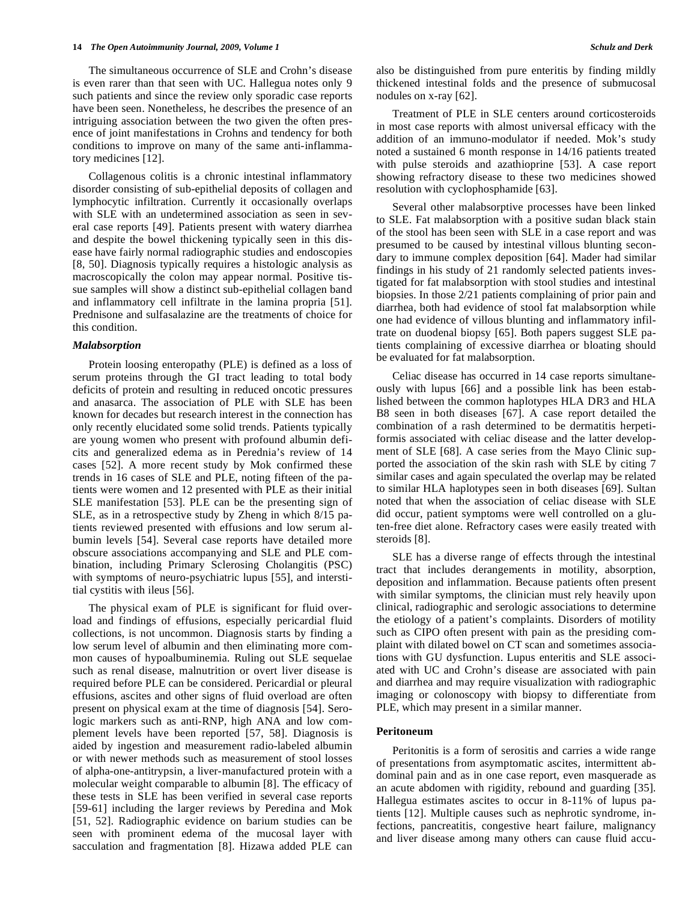The simultaneous occurrence of SLE and Crohn's disease is even rarer than that seen with UC. Hallegua notes only 9 such patients and since the review only sporadic case reports have been seen. Nonetheless, he describes the presence of an intriguing association between the two given the often presence of joint manifestations in Crohns and tendency for both conditions to improve on many of the same anti-inflammatory medicines [12].

 Collagenous colitis is a chronic intestinal inflammatory disorder consisting of sub-epithelial deposits of collagen and lymphocytic infiltration. Currently it occasionally overlaps with SLE with an undetermined association as seen in several case reports [49]. Patients present with watery diarrhea and despite the bowel thickening typically seen in this disease have fairly normal radiographic studies and endoscopies [8, 50]. Diagnosis typically requires a histologic analysis as macroscopically the colon may appear normal. Positive tissue samples will show a distinct sub-epithelial collagen band and inflammatory cell infiltrate in the lamina propria [51]. Prednisone and sulfasalazine are the treatments of choice for this condition.

# *Malabsorption*

 Protein loosing enteropathy (PLE) is defined as a loss of serum proteins through the GI tract leading to total body deficits of protein and resulting in reduced oncotic pressures and anasarca. The association of PLE with SLE has been known for decades but research interest in the connection has only recently elucidated some solid trends. Patients typically are young women who present with profound albumin deficits and generalized edema as in Perednia's review of 14 cases [52]. A more recent study by Mok confirmed these trends in 16 cases of SLE and PLE, noting fifteen of the patients were women and 12 presented with PLE as their initial SLE manifestation [53]. PLE can be the presenting sign of SLE, as in a retrospective study by Zheng in which 8/15 patients reviewed presented with effusions and low serum albumin levels [54]. Several case reports have detailed more obscure associations accompanying and SLE and PLE combination, including Primary Sclerosing Cholangitis (PSC) with symptoms of neuro-psychiatric lupus [55], and interstitial cystitis with ileus [56].

 The physical exam of PLE is significant for fluid overload and findings of effusions, especially pericardial fluid collections, is not uncommon. Diagnosis starts by finding a low serum level of albumin and then eliminating more common causes of hypoalbuminemia. Ruling out SLE sequelae such as renal disease, malnutrition or overt liver disease is required before PLE can be considered. Pericardial or pleural effusions, ascites and other signs of fluid overload are often present on physical exam at the time of diagnosis [54]. Serologic markers such as anti-RNP, high ANA and low complement levels have been reported [57, 58]. Diagnosis is aided by ingestion and measurement radio-labeled albumin or with newer methods such as measurement of stool losses of alpha-one-antitrypsin, a liver-manufactured protein with a molecular weight comparable to albumin [8]. The efficacy of these tests in SLE has been verified in several case reports [59-61] including the larger reviews by Peredina and Mok [51, 52]. Radiographic evidence on barium studies can be seen with prominent edema of the mucosal layer with sacculation and fragmentation [8]. Hizawa added PLE can also be distinguished from pure enteritis by finding mildly thickened intestinal folds and the presence of submucosal nodules on x-ray [62].

 Treatment of PLE in SLE centers around corticosteroids in most case reports with almost universal efficacy with the addition of an immuno-modulator if needed. Mok's study noted a sustained 6 month response in 14/16 patients treated with pulse steroids and azathioprine [53]. A case report showing refractory disease to these two medicines showed resolution with cyclophosphamide [63].

 Several other malabsorptive processes have been linked to SLE. Fat malabsorption with a positive sudan black stain of the stool has been seen with SLE in a case report and was presumed to be caused by intestinal villous blunting secondary to immune complex deposition [64]. Mader had similar findings in his study of 21 randomly selected patients investigated for fat malabsorption with stool studies and intestinal biopsies. In those 2/21 patients complaining of prior pain and diarrhea, both had evidence of stool fat malabsorption while one had evidence of villous blunting and inflammatory infiltrate on duodenal biopsy [65]. Both papers suggest SLE patients complaining of excessive diarrhea or bloating should be evaluated for fat malabsorption.

 Celiac disease has occurred in 14 case reports simultaneously with lupus [66] and a possible link has been established between the common haplotypes HLA DR3 and HLA B8 seen in both diseases [67]. A case report detailed the combination of a rash determined to be dermatitis herpetiformis associated with celiac disease and the latter development of SLE [68]. A case series from the Mayo Clinic supported the association of the skin rash with SLE by citing 7 similar cases and again speculated the overlap may be related to similar HLA haplotypes seen in both diseases [69]. Sultan noted that when the association of celiac disease with SLE did occur, patient symptoms were well controlled on a gluten-free diet alone. Refractory cases were easily treated with steroids [8].

 SLE has a diverse range of effects through the intestinal tract that includes derangements in motility, absorption, deposition and inflammation. Because patients often present with similar symptoms, the clinician must rely heavily upon clinical, radiographic and serologic associations to determine the etiology of a patient's complaints. Disorders of motility such as CIPO often present with pain as the presiding complaint with dilated bowel on CT scan and sometimes associations with GU dysfunction. Lupus enteritis and SLE associated with UC and Crohn's disease are associated with pain and diarrhea and may require visualization with radiographic imaging or colonoscopy with biopsy to differentiate from PLE, which may present in a similar manner.

# **Peritoneum**

 Peritonitis is a form of serositis and carries a wide range of presentations from asymptomatic ascites, intermittent abdominal pain and as in one case report, even masquerade as an acute abdomen with rigidity, rebound and guarding [35]. Hallegua estimates ascites to occur in 8-11% of lupus patients [12]. Multiple causes such as nephrotic syndrome, infections, pancreatitis, congestive heart failure, malignancy and liver disease among many others can cause fluid accu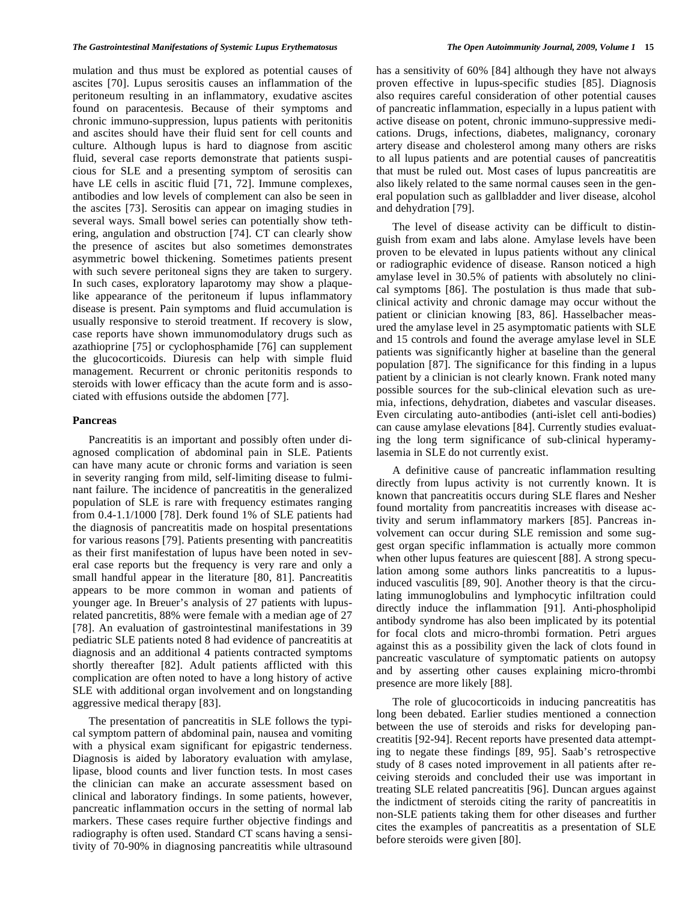mulation and thus must be explored as potential causes of ascites [70]. Lupus serositis causes an inflammation of the peritoneum resulting in an inflammatory, exudative ascites found on paracentesis. Because of their symptoms and chronic immuno-suppression, lupus patients with peritonitis and ascites should have their fluid sent for cell counts and culture. Although lupus is hard to diagnose from ascitic fluid, several case reports demonstrate that patients suspicious for SLE and a presenting symptom of serositis can have LE cells in ascitic fluid [71, 72]. Immune complexes, antibodies and low levels of complement can also be seen in the ascites [73]. Serositis can appear on imaging studies in several ways. Small bowel series can potentially show tethering, angulation and obstruction [74]. CT can clearly show the presence of ascites but also sometimes demonstrates asymmetric bowel thickening. Sometimes patients present with such severe peritoneal signs they are taken to surgery. In such cases, exploratory laparotomy may show a plaquelike appearance of the peritoneum if lupus inflammatory disease is present. Pain symptoms and fluid accumulation is usually responsive to steroid treatment. If recovery is slow, case reports have shown immunomodulatory drugs such as azathioprine [75] or cyclophosphamide [76] can supplement the glucocorticoids. Diuresis can help with simple fluid management. Recurrent or chronic peritonitis responds to steroids with lower efficacy than the acute form and is associated with effusions outside the abdomen [77].

# **Pancreas**

 Pancreatitis is an important and possibly often under diagnosed complication of abdominal pain in SLE. Patients can have many acute or chronic forms and variation is seen in severity ranging from mild, self-limiting disease to fulminant failure. The incidence of pancreatitis in the generalized population of SLE is rare with frequency estimates ranging from 0.4-1.1/1000 [78]. Derk found 1% of SLE patients had the diagnosis of pancreatitis made on hospital presentations for various reasons [79]. Patients presenting with pancreatitis as their first manifestation of lupus have been noted in several case reports but the frequency is very rare and only a small handful appear in the literature [80, 81]. Pancreatitis appears to be more common in woman and patients of younger age. In Breuer's analysis of 27 patients with lupusrelated pancretitis, 88% were female with a median age of 27 [78]. An evaluation of gastrointestinal manifestations in 39 pediatric SLE patients noted 8 had evidence of pancreatitis at diagnosis and an additional 4 patients contracted symptoms shortly thereafter [82]. Adult patients afflicted with this complication are often noted to have a long history of active SLE with additional organ involvement and on longstanding aggressive medical therapy [83].

 The presentation of pancreatitis in SLE follows the typical symptom pattern of abdominal pain, nausea and vomiting with a physical exam significant for epigastric tenderness. Diagnosis is aided by laboratory evaluation with amylase, lipase, blood counts and liver function tests. In most cases the clinician can make an accurate assessment based on clinical and laboratory findings. In some patients, however, pancreatic inflammation occurs in the setting of normal lab markers. These cases require further objective findings and radiography is often used. Standard CT scans having a sensitivity of 70-90% in diagnosing pancreatitis while ultrasound has a sensitivity of 60% [84] although they have not always proven effective in lupus-specific studies [85]. Diagnosis also requires careful consideration of other potential causes of pancreatic inflammation, especially in a lupus patient with active disease on potent, chronic immuno-suppressive medications. Drugs, infections, diabetes, malignancy, coronary artery disease and cholesterol among many others are risks to all lupus patients and are potential causes of pancreatitis that must be ruled out. Most cases of lupus pancreatitis are also likely related to the same normal causes seen in the general population such as gallbladder and liver disease, alcohol and dehydration [79].

 The level of disease activity can be difficult to distinguish from exam and labs alone. Amylase levels have been proven to be elevated in lupus patients without any clinical or radiographic evidence of disease. Ranson noticed a high amylase level in 30.5% of patients with absolutely no clinical symptoms [86]. The postulation is thus made that subclinical activity and chronic damage may occur without the patient or clinician knowing [83, 86]. Hasselbacher measured the amylase level in 25 asymptomatic patients with SLE and 15 controls and found the average amylase level in SLE patients was significantly higher at baseline than the general population [87]. The significance for this finding in a lupus patient by a clinician is not clearly known. Frank noted many possible sources for the sub-clinical elevation such as uremia, infections, dehydration, diabetes and vascular diseases. Even circulating auto-antibodies (anti-islet cell anti-bodies) can cause amylase elevations [84]. Currently studies evaluating the long term significance of sub-clinical hyperamylasemia in SLE do not currently exist.

 A definitive cause of pancreatic inflammation resulting directly from lupus activity is not currently known. It is known that pancreatitis occurs during SLE flares and Nesher found mortality from pancreatitis increases with disease activity and serum inflammatory markers [85]. Pancreas involvement can occur during SLE remission and some suggest organ specific inflammation is actually more common when other lupus features are quiescent [88]. A strong speculation among some authors links pancreatitis to a lupusinduced vasculitis [89, 90]. Another theory is that the circulating immunoglobulins and lymphocytic infiltration could directly induce the inflammation [91]. Anti-phospholipid antibody syndrome has also been implicated by its potential for focal clots and micro-thrombi formation. Petri argues against this as a possibility given the lack of clots found in pancreatic vasculature of symptomatic patients on autopsy and by asserting other causes explaining micro-thrombi presence are more likely [88].

 The role of glucocorticoids in inducing pancreatitis has long been debated. Earlier studies mentioned a connection between the use of steroids and risks for developing pancreatitis [92-94]. Recent reports have presented data attempting to negate these findings [89, 95]. Saab's retrospective study of 8 cases noted improvement in all patients after receiving steroids and concluded their use was important in treating SLE related pancreatitis [96]. Duncan argues against the indictment of steroids citing the rarity of pancreatitis in non-SLE patients taking them for other diseases and further cites the examples of pancreatitis as a presentation of SLE before steroids were given [80].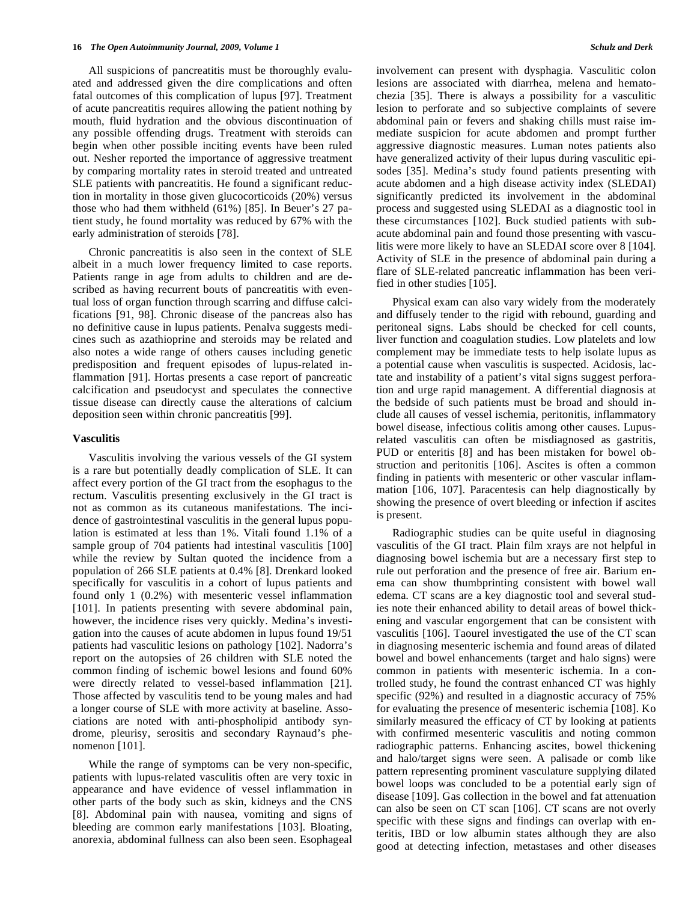All suspicions of pancreatitis must be thoroughly evaluated and addressed given the dire complications and often fatal outcomes of this complication of lupus [97]. Treatment of acute pancreatitis requires allowing the patient nothing by mouth, fluid hydration and the obvious discontinuation of any possible offending drugs. Treatment with steroids can begin when other possible inciting events have been ruled out. Nesher reported the importance of aggressive treatment by comparing mortality rates in steroid treated and untreated SLE patients with pancreatitis. He found a significant reduction in mortality in those given glucocorticoids (20%) versus those who had them withheld (61%) [85]. In Beuer's 27 patient study, he found mortality was reduced by 67% with the early administration of steroids [78].

 Chronic pancreatitis is also seen in the context of SLE albeit in a much lower frequency limited to case reports. Patients range in age from adults to children and are described as having recurrent bouts of pancreatitis with eventual loss of organ function through scarring and diffuse calcifications [91, 98]. Chronic disease of the pancreas also has no definitive cause in lupus patients. Penalva suggests medicines such as azathioprine and steroids may be related and also notes a wide range of others causes including genetic predisposition and frequent episodes of lupus-related inflammation [91]. Hortas presents a case report of pancreatic calcification and pseudocyst and speculates the connective tissue disease can directly cause the alterations of calcium deposition seen within chronic pancreatitis [99].

# **Vasculitis**

 Vasculitis involving the various vessels of the GI system is a rare but potentially deadly complication of SLE. It can affect every portion of the GI tract from the esophagus to the rectum. Vasculitis presenting exclusively in the GI tract is not as common as its cutaneous manifestations. The incidence of gastrointestinal vasculitis in the general lupus population is estimated at less than 1%. Vitali found 1.1% of a sample group of 704 patients had intestinal vasculitis [100] while the review by Sultan quoted the incidence from a population of 266 SLE patients at 0.4% [8]. Drenkard looked specifically for vasculitis in a cohort of lupus patients and found only 1 (0.2%) with mesenteric vessel inflammation [101]. In patients presenting with severe abdominal pain, however, the incidence rises very quickly. Medina's investigation into the causes of acute abdomen in lupus found 19/51 patients had vasculitic lesions on pathology [102]. Nadorra's report on the autopsies of 26 children with SLE noted the common finding of ischemic bowel lesions and found 60% were directly related to vessel-based inflammation [21]. Those affected by vasculitis tend to be young males and had a longer course of SLE with more activity at baseline. Associations are noted with anti-phospholipid antibody syndrome, pleurisy, serositis and secondary Raynaud's phenomenon [101].

 While the range of symptoms can be very non-specific, patients with lupus-related vasculitis often are very toxic in appearance and have evidence of vessel inflammation in other parts of the body such as skin, kidneys and the CNS [8]. Abdominal pain with nausea, vomiting and signs of bleeding are common early manifestations [103]. Bloating, anorexia, abdominal fullness can also been seen. Esophageal involvement can present with dysphagia. Vasculitic colon lesions are associated with diarrhea, melena and hematochezia [35]. There is always a possibility for a vasculitic lesion to perforate and so subjective complaints of severe abdominal pain or fevers and shaking chills must raise immediate suspicion for acute abdomen and prompt further aggressive diagnostic measures. Luman notes patients also have generalized activity of their lupus during vasculitic episodes [35]. Medina's study found patients presenting with acute abdomen and a high disease activity index (SLEDAI) significantly predicted its involvement in the abdominal process and suggested using SLEDAI as a diagnostic tool in these circumstances [102]. Buck studied patients with subacute abdominal pain and found those presenting with vasculitis were more likely to have an SLEDAI score over 8 [104]. Activity of SLE in the presence of abdominal pain during a flare of SLE-related pancreatic inflammation has been verified in other studies [105].

 Physical exam can also vary widely from the moderately and diffusely tender to the rigid with rebound, guarding and peritoneal signs. Labs should be checked for cell counts, liver function and coagulation studies. Low platelets and low complement may be immediate tests to help isolate lupus as a potential cause when vasculitis is suspected. Acidosis, lactate and instability of a patient's vital signs suggest perforation and urge rapid management. A differential diagnosis at the bedside of such patients must be broad and should include all causes of vessel ischemia, peritonitis, inflammatory bowel disease, infectious colitis among other causes. Lupusrelated vasculitis can often be misdiagnosed as gastritis, PUD or enteritis [8] and has been mistaken for bowel obstruction and peritonitis [106]. Ascites is often a common finding in patients with mesenteric or other vascular inflammation [106, 107]. Paracentesis can help diagnostically by showing the presence of overt bleeding or infection if ascites is present.

 Radiographic studies can be quite useful in diagnosing vasculitis of the GI tract. Plain film xrays are not helpful in diagnosing bowel ischemia but are a necessary first step to rule out perforation and the presence of free air. Barium enema can show thumbprinting consistent with bowel wall edema. CT scans are a key diagnostic tool and several studies note their enhanced ability to detail areas of bowel thickening and vascular engorgement that can be consistent with vasculitis [106]. Taourel investigated the use of the CT scan in diagnosing mesenteric ischemia and found areas of dilated bowel and bowel enhancements (target and halo signs) were common in patients with mesenteric ischemia. In a controlled study, he found the contrast enhanced CT was highly specific (92%) and resulted in a diagnostic accuracy of 75% for evaluating the presence of mesenteric ischemia [108]. Ko similarly measured the efficacy of CT by looking at patients with confirmed mesenteric vasculitis and noting common radiographic patterns. Enhancing ascites, bowel thickening and halo/target signs were seen. A palisade or comb like pattern representing prominent vasculature supplying dilated bowel loops was concluded to be a potential early sign of disease [109]. Gas collection in the bowel and fat attenuation can also be seen on CT scan [106]. CT scans are not overly specific with these signs and findings can overlap with enteritis, IBD or low albumin states although they are also good at detecting infection, metastases and other diseases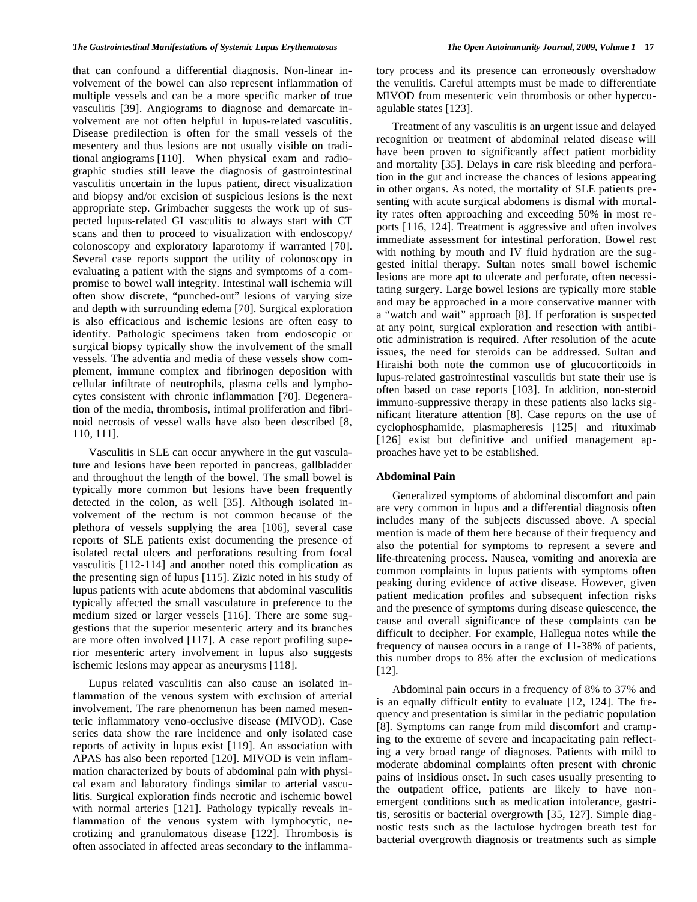that can confound a differential diagnosis. Non-linear involvement of the bowel can also represent inflammation of multiple vessels and can be a more specific marker of true vasculitis [39]. Angiograms to diagnose and demarcate involvement are not often helpful in lupus-related vasculitis. Disease predilection is often for the small vessels of the mesentery and thus lesions are not usually visible on traditional angiograms [110]. When physical exam and radiographic studies still leave the diagnosis of gastrointestinal vasculitis uncertain in the lupus patient, direct visualization and biopsy and/or excision of suspicious lesions is the next appropriate step. Grimbacher suggests the work up of suspected lupus-related GI vasculitis to always start with CT scans and then to proceed to visualization with endoscopy/ colonoscopy and exploratory laparotomy if warranted [70]. Several case reports support the utility of colonoscopy in evaluating a patient with the signs and symptoms of a compromise to bowel wall integrity. Intestinal wall ischemia will often show discrete, "punched-out" lesions of varying size and depth with surrounding edema [70]. Surgical exploration is also efficacious and ischemic lesions are often easy to identify. Pathologic specimens taken from endoscopic or surgical biopsy typically show the involvement of the small vessels. The adventia and media of these vessels show complement, immune complex and fibrinogen deposition with cellular infiltrate of neutrophils, plasma cells and lymphocytes consistent with chronic inflammation [70]. Degeneration of the media, thrombosis, intimal proliferation and fibrinoid necrosis of vessel walls have also been described [8, 110, 111].

 Vasculitis in SLE can occur anywhere in the gut vasculature and lesions have been reported in pancreas, gallbladder and throughout the length of the bowel. The small bowel is typically more common but lesions have been frequently detected in the colon, as well [35]. Although isolated involvement of the rectum is not common because of the plethora of vessels supplying the area [106], several case reports of SLE patients exist documenting the presence of isolated rectal ulcers and perforations resulting from focal vasculitis [112-114] and another noted this complication as the presenting sign of lupus [115]. Zizic noted in his study of lupus patients with acute abdomens that abdominal vasculitis typically affected the small vasculature in preference to the medium sized or larger vessels [116]. There are some suggestions that the superior mesenteric artery and its branches are more often involved [117]. A case report profiling superior mesenteric artery involvement in lupus also suggests ischemic lesions may appear as aneurysms [118].

 Lupus related vasculitis can also cause an isolated inflammation of the venous system with exclusion of arterial involvement. The rare phenomenon has been named mesenteric inflammatory veno-occlusive disease (MIVOD). Case series data show the rare incidence and only isolated case reports of activity in lupus exist [119]. An association with APAS has also been reported [120]. MIVOD is vein inflammation characterized by bouts of abdominal pain with physical exam and laboratory findings similar to arterial vasculitis. Surgical exploration finds necrotic and ischemic bowel with normal arteries [121]. Pathology typically reveals inflammation of the venous system with lymphocytic, necrotizing and granulomatous disease [122]. Thrombosis is often associated in affected areas secondary to the inflammatory process and its presence can erroneously overshadow the venulitis. Careful attempts must be made to differentiate MIVOD from mesenteric vein thrombosis or other hypercoagulable states [123].

 Treatment of any vasculitis is an urgent issue and delayed recognition or treatment of abdominal related disease will have been proven to significantly affect patient morbidity and mortality [35]. Delays in care risk bleeding and perforation in the gut and increase the chances of lesions appearing in other organs. As noted, the mortality of SLE patients presenting with acute surgical abdomens is dismal with mortality rates often approaching and exceeding 50% in most reports [116, 124]. Treatment is aggressive and often involves immediate assessment for intestinal perforation. Bowel rest with nothing by mouth and IV fluid hydration are the suggested initial therapy. Sultan notes small bowel ischemic lesions are more apt to ulcerate and perforate, often necessitating surgery. Large bowel lesions are typically more stable and may be approached in a more conservative manner with a "watch and wait" approach [8]. If perforation is suspected at any point, surgical exploration and resection with antibiotic administration is required. After resolution of the acute issues, the need for steroids can be addressed. Sultan and Hiraishi both note the common use of glucocorticoids in lupus-related gastrointestinal vasculitis but state their use is often based on case reports [103]. In addition, non-steroid immuno-suppressive therapy in these patients also lacks significant literature attention [8]. Case reports on the use of cyclophosphamide, plasmapheresis [125] and rituximab [126] exist but definitive and unified management approaches have yet to be established.

# **Abdominal Pain**

 Generalized symptoms of abdominal discomfort and pain are very common in lupus and a differential diagnosis often includes many of the subjects discussed above. A special mention is made of them here because of their frequency and also the potential for symptoms to represent a severe and life-threatening process. Nausea, vomiting and anorexia are common complaints in lupus patients with symptoms often peaking during evidence of active disease. However, given patient medication profiles and subsequent infection risks and the presence of symptoms during disease quiescence, the cause and overall significance of these complaints can be difficult to decipher. For example, Hallegua notes while the frequency of nausea occurs in a range of 11-38% of patients, this number drops to 8% after the exclusion of medications [12].

 Abdominal pain occurs in a frequency of 8% to 37% and is an equally difficult entity to evaluate [12, 124]. The frequency and presentation is similar in the pediatric population [8]. Symptoms can range from mild discomfort and cramping to the extreme of severe and incapacitating pain reflecting a very broad range of diagnoses. Patients with mild to moderate abdominal complaints often present with chronic pains of insidious onset. In such cases usually presenting to the outpatient office, patients are likely to have nonemergent conditions such as medication intolerance, gastritis, serositis or bacterial overgrowth [35, 127]. Simple diagnostic tests such as the lactulose hydrogen breath test for bacterial overgrowth diagnosis or treatments such as simple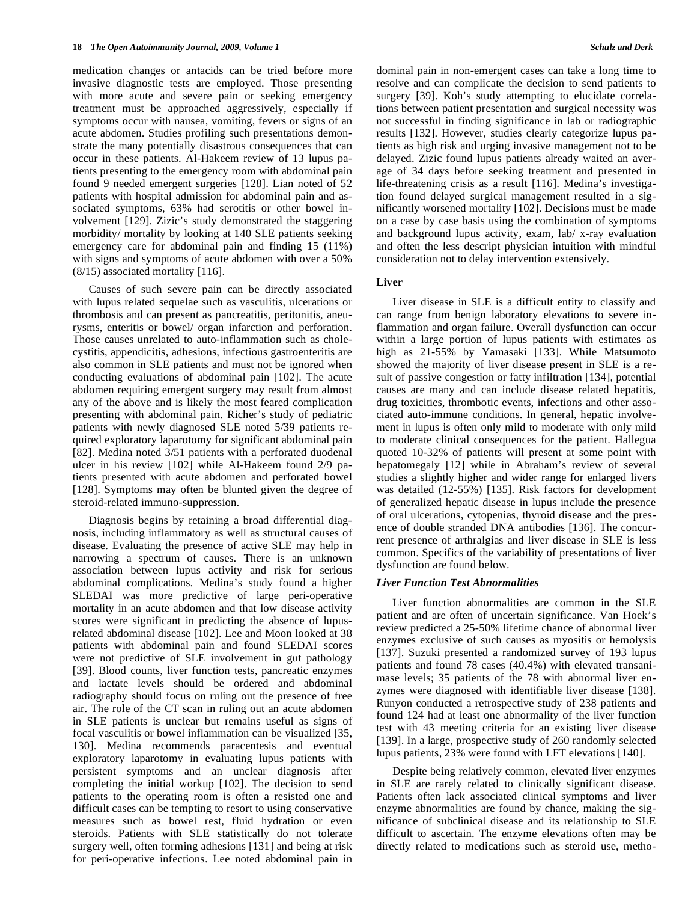medication changes or antacids can be tried before more invasive diagnostic tests are employed. Those presenting with more acute and severe pain or seeking emergency treatment must be approached aggressively, especially if symptoms occur with nausea, vomiting, fevers or signs of an acute abdomen. Studies profiling such presentations demonstrate the many potentially disastrous consequences that can occur in these patients. Al-Hakeem review of 13 lupus patients presenting to the emergency room with abdominal pain found 9 needed emergent surgeries [128]. Lian noted of 52 patients with hospital admission for abdominal pain and associated symptoms, 63% had serotitis or other bowel involvement [129]. Zizic's study demonstrated the staggering morbidity/ mortality by looking at 140 SLE patients seeking emergency care for abdominal pain and finding 15 (11%) with signs and symptoms of acute abdomen with over a 50% (8/15) associated mortality [116].

 Causes of such severe pain can be directly associated with lupus related sequelae such as vasculitis, ulcerations or thrombosis and can present as pancreatitis, peritonitis, aneurysms, enteritis or bowel/ organ infarction and perforation. Those causes unrelated to auto-inflammation such as cholecystitis, appendicitis, adhesions, infectious gastroenteritis are also common in SLE patients and must not be ignored when conducting evaluations of abdominal pain [102]. The acute abdomen requiring emergent surgery may result from almost any of the above and is likely the most feared complication presenting with abdominal pain. Richer's study of pediatric patients with newly diagnosed SLE noted 5/39 patients required exploratory laparotomy for significant abdominal pain [82]. Medina noted 3/51 patients with a perforated duodenal ulcer in his review [102] while Al-Hakeem found 2/9 patients presented with acute abdomen and perforated bowel [128]. Symptoms may often be blunted given the degree of steroid-related immuno-suppression.

 Diagnosis begins by retaining a broad differential diagnosis, including inflammatory as well as structural causes of disease. Evaluating the presence of active SLE may help in narrowing a spectrum of causes. There is an unknown association between lupus activity and risk for serious abdominal complications. Medina's study found a higher SLEDAI was more predictive of large peri-operative mortality in an acute abdomen and that low disease activity scores were significant in predicting the absence of lupusrelated abdominal disease [102]. Lee and Moon looked at 38 patients with abdominal pain and found SLEDAI scores were not predictive of SLE involvement in gut pathology [39]. Blood counts, liver function tests, pancreatic enzymes and lactate levels should be ordered and abdominal radiography should focus on ruling out the presence of free air. The role of the CT scan in ruling out an acute abdomen in SLE patients is unclear but remains useful as signs of focal vasculitis or bowel inflammation can be visualized [35, 130]. Medina recommends paracentesis and eventual exploratory laparotomy in evaluating lupus patients with persistent symptoms and an unclear diagnosis after completing the initial workup [102]. The decision to send patients to the operating room is often a resisted one and difficult cases can be tempting to resort to using conservative measures such as bowel rest, fluid hydration or even steroids. Patients with SLE statistically do not tolerate surgery well, often forming adhesions [131] and being at risk for peri-operative infections. Lee noted abdominal pain in

dominal pain in non-emergent cases can take a long time to resolve and can complicate the decision to send patients to surgery [39]. Koh's study attempting to elucidate correlations between patient presentation and surgical necessity was not successful in finding significance in lab or radiographic results [132]. However, studies clearly categorize lupus patients as high risk and urging invasive management not to be delayed. Zizic found lupus patients already waited an average of 34 days before seeking treatment and presented in life-threatening crisis as a result [116]. Medina's investigation found delayed surgical management resulted in a significantly worsened mortality [102]. Decisions must be made on a case by case basis using the combination of symptoms and background lupus activity, exam, lab/ x-ray evaluation and often the less descript physician intuition with mindful consideration not to delay intervention extensively.

# **Liver**

 Liver disease in SLE is a difficult entity to classify and can range from benign laboratory elevations to severe inflammation and organ failure. Overall dysfunction can occur within a large portion of lupus patients with estimates as high as 21-55% by Yamasaki [133]. While Matsumoto showed the majority of liver disease present in SLE is a result of passive congestion or fatty infiltration [134], potential causes are many and can include disease related hepatitis, drug toxicities, thrombotic events, infections and other associated auto-immune conditions. In general, hepatic involvement in lupus is often only mild to moderate with only mild to moderate clinical consequences for the patient. Hallegua quoted 10-32% of patients will present at some point with hepatomegaly [12] while in Abraham's review of several studies a slightly higher and wider range for enlarged livers was detailed (12-55%) [135]. Risk factors for development of generalized hepatic disease in lupus include the presence of oral ulcerations, cytopenias, thyroid disease and the presence of double stranded DNA antibodies [136]. The concurrent presence of arthralgias and liver disease in SLE is less common. Specifics of the variability of presentations of liver dysfunction are found below.

# *Liver Function Test Abnormalities*

 Liver function abnormalities are common in the SLE patient and are often of uncertain significance. Van Hoek's review predicted a 25-50% lifetime chance of abnormal liver enzymes exclusive of such causes as myositis or hemolysis [137]. Suzuki presented a randomized survey of 193 lupus patients and found 78 cases (40.4%) with elevated transanimase levels; 35 patients of the 78 with abnormal liver enzymes were diagnosed with identifiable liver disease [138]. Runyon conducted a retrospective study of 238 patients and found 124 had at least one abnormality of the liver function test with 43 meeting criteria for an existing liver disease [139]. In a large, prospective study of 260 randomly selected lupus patients, 23% were found with LFT elevations [140].

 Despite being relatively common, elevated liver enzymes in SLE are rarely related to clinically significant disease. Patients often lack associated clinical symptoms and liver enzyme abnormalities are found by chance, making the significance of subclinical disease and its relationship to SLE difficult to ascertain. The enzyme elevations often may be directly related to medications such as steroid use, metho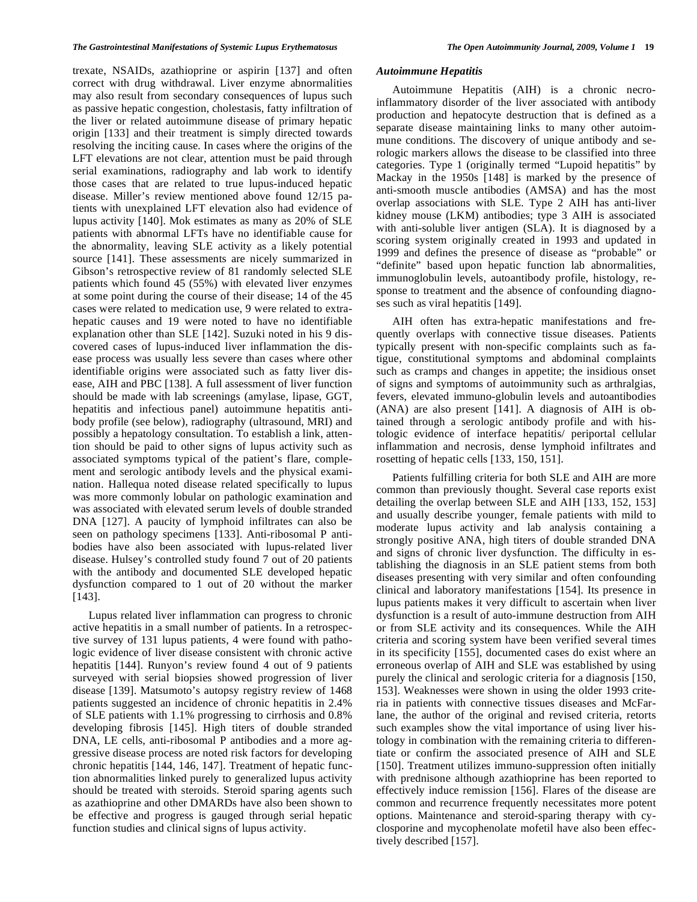trexate, NSAIDs, azathioprine or aspirin [137] and often correct with drug withdrawal. Liver enzyme abnormalities may also result from secondary consequences of lupus such as passive hepatic congestion, cholestasis, fatty infiltration of the liver or related autoimmune disease of primary hepatic origin [133] and their treatment is simply directed towards resolving the inciting cause. In cases where the origins of the LFT elevations are not clear, attention must be paid through serial examinations, radiography and lab work to identify those cases that are related to true lupus-induced hepatic disease. Miller's review mentioned above found 12/15 patients with unexplained LFT elevation also had evidence of lupus activity [140]. Mok estimates as many as 20% of SLE patients with abnormal LFTs have no identifiable cause for the abnormality, leaving SLE activity as a likely potential source [141]. These assessments are nicely summarized in Gibson's retrospective review of 81 randomly selected SLE patients which found 45 (55%) with elevated liver enzymes at some point during the course of their disease; 14 of the 45 cases were related to medication use, 9 were related to extrahepatic causes and 19 were noted to have no identifiable explanation other than SLE [142]. Suzuki noted in his 9 discovered cases of lupus-induced liver inflammation the disease process was usually less severe than cases where other identifiable origins were associated such as fatty liver disease, AIH and PBC [138]. A full assessment of liver function should be made with lab screenings (amylase, lipase, GGT, hepatitis and infectious panel) autoimmune hepatitis antibody profile (see below), radiography (ultrasound, MRI) and possibly a hepatology consultation. To establish a link, attention should be paid to other signs of lupus activity such as associated symptoms typical of the patient's flare, complement and serologic antibody levels and the physical examination. Hallequa noted disease related specifically to lupus was more commonly lobular on pathologic examination and was associated with elevated serum levels of double stranded DNA [127]. A paucity of lymphoid infiltrates can also be seen on pathology specimens [133]. Anti-ribosomal P antibodies have also been associated with lupus-related liver disease. Hulsey's controlled study found 7 out of 20 patients with the antibody and documented SLE developed hepatic dysfunction compared to 1 out of 20 without the marker [143].

 Lupus related liver inflammation can progress to chronic active hepatitis in a small number of patients. In a retrospective survey of 131 lupus patients, 4 were found with pathologic evidence of liver disease consistent with chronic active hepatitis [144]. Runyon's review found 4 out of 9 patients surveyed with serial biopsies showed progression of liver disease [139]. Matsumoto's autopsy registry review of 1468 patients suggested an incidence of chronic hepatitis in 2.4% of SLE patients with 1.1% progressing to cirrhosis and 0.8% developing fibrosis [145]. High titers of double stranded DNA, LE cells, anti-ribosomal P antibodies and a more aggressive disease process are noted risk factors for developing chronic hepatitis [144, 146, 147]. Treatment of hepatic function abnormalities linked purely to generalized lupus activity should be treated with steroids. Steroid sparing agents such as azathioprine and other DMARDs have also been shown to be effective and progress is gauged through serial hepatic function studies and clinical signs of lupus activity.

#### *Autoimmune Hepatitis*

 Autoimmune Hepatitis (AIH) is a chronic necroinflammatory disorder of the liver associated with antibody production and hepatocyte destruction that is defined as a separate disease maintaining links to many other autoimmune conditions. The discovery of unique antibody and serologic markers allows the disease to be classified into three categories. Type 1 (originally termed "Lupoid hepatitis" by Mackay in the 1950s [148] is marked by the presence of anti-smooth muscle antibodies (AMSA) and has the most overlap associations with SLE. Type 2 AIH has anti-liver kidney mouse (LKM) antibodies; type 3 AIH is associated with anti-soluble liver antigen (SLA). It is diagnosed by a scoring system originally created in 1993 and updated in 1999 and defines the presence of disease as "probable" or "definite" based upon hepatic function lab abnormalities, immunoglobulin levels, autoantibody profile, histology, response to treatment and the absence of confounding diagnoses such as viral hepatitis [149].

 AIH often has extra-hepatic manifestations and frequently overlaps with connective tissue diseases. Patients typically present with non-specific complaints such as fatigue, constitutional symptoms and abdominal complaints such as cramps and changes in appetite; the insidious onset of signs and symptoms of autoimmunity such as arthralgias, fevers, elevated immuno-globulin levels and autoantibodies (ANA) are also present [141]. A diagnosis of AIH is obtained through a serologic antibody profile and with histologic evidence of interface hepatitis/ periportal cellular inflammation and necrosis, dense lymphoid infiltrates and rosetting of hepatic cells [133, 150, 151].

 Patients fulfilling criteria for both SLE and AIH are more common than previously thought. Several case reports exist detailing the overlap between SLE and AIH [133, 152, 153] and usually describe younger, female patients with mild to moderate lupus activity and lab analysis containing a strongly positive ANA, high titers of double stranded DNA and signs of chronic liver dysfunction. The difficulty in establishing the diagnosis in an SLE patient stems from both diseases presenting with very similar and often confounding clinical and laboratory manifestations [154]. Its presence in lupus patients makes it very difficult to ascertain when liver dysfunction is a result of auto-immune destruction from AIH or from SLE activity and its consequences. While the AIH criteria and scoring system have been verified several times in its specificity [155], documented cases do exist where an erroneous overlap of AIH and SLE was established by using purely the clinical and serologic criteria for a diagnosis [150, 153]. Weaknesses were shown in using the older 1993 criteria in patients with connective tissues diseases and McFarlane, the author of the original and revised criteria, retorts such examples show the vital importance of using liver histology in combination with the remaining criteria to differentiate or confirm the associated presence of AIH and SLE [150]. Treatment utilizes immuno-suppression often initially with prednisone although azathioprine has been reported to effectively induce remission [156]. Flares of the disease are common and recurrence frequently necessitates more potent options. Maintenance and steroid-sparing therapy with cyclosporine and mycophenolate mofetil have also been effectively described [157].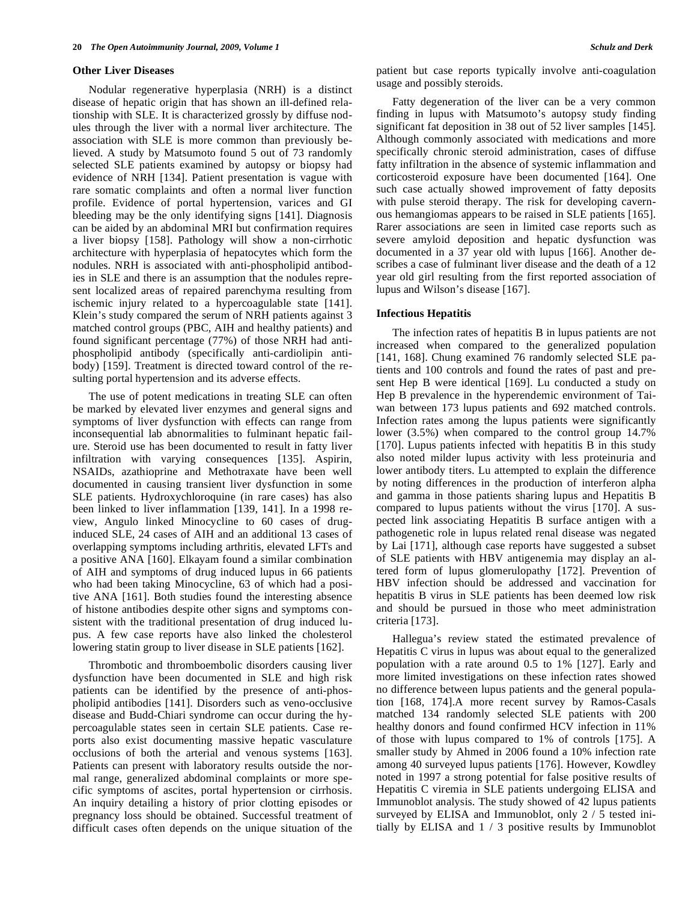### **Other Liver Diseases**

 Nodular regenerative hyperplasia (NRH) is a distinct disease of hepatic origin that has shown an ill-defined relationship with SLE. It is characterized grossly by diffuse nodules through the liver with a normal liver architecture. The association with SLE is more common than previously believed. A study by Matsumoto found 5 out of 73 randomly selected SLE patients examined by autopsy or biopsy had evidence of NRH [134]. Patient presentation is vague with rare somatic complaints and often a normal liver function profile. Evidence of portal hypertension, varices and GI bleeding may be the only identifying signs [141]. Diagnosis can be aided by an abdominal MRI but confirmation requires a liver biopsy [158]. Pathology will show a non-cirrhotic architecture with hyperplasia of hepatocytes which form the nodules. NRH is associated with anti-phospholipid antibodies in SLE and there is an assumption that the nodules represent localized areas of repaired parenchyma resulting from ischemic injury related to a hypercoagulable state [141]. Klein's study compared the serum of NRH patients against 3 matched control groups (PBC, AIH and healthy patients) and found significant percentage (77%) of those NRH had antiphospholipid antibody (specifically anti-cardiolipin antibody) [159]. Treatment is directed toward control of the resulting portal hypertension and its adverse effects.

 The use of potent medications in treating SLE can often be marked by elevated liver enzymes and general signs and symptoms of liver dysfunction with effects can range from inconsequential lab abnormalities to fulminant hepatic failure. Steroid use has been documented to result in fatty liver infiltration with varying consequences [135]. Aspirin, NSAIDs, azathioprine and Methotraxate have been well documented in causing transient liver dysfunction in some SLE patients. Hydroxychloroquine (in rare cases) has also been linked to liver inflammation [139, 141]. In a 1998 review, Angulo linked Minocycline to 60 cases of druginduced SLE, 24 cases of AIH and an additional 13 cases of overlapping symptoms including arthritis, elevated LFTs and a positive ANA [160]. Elkayam found a similar combination of AIH and symptoms of drug induced lupus in 66 patients who had been taking Minocycline, 63 of which had a positive ANA [161]. Both studies found the interesting absence of histone antibodies despite other signs and symptoms consistent with the traditional presentation of drug induced lupus. A few case reports have also linked the cholesterol lowering statin group to liver disease in SLE patients [162].

 Thrombotic and thromboembolic disorders causing liver dysfunction have been documented in SLE and high risk patients can be identified by the presence of anti-phospholipid antibodies [141]. Disorders such as veno-occlusive disease and Budd-Chiari syndrome can occur during the hypercoagulable states seen in certain SLE patients. Case reports also exist documenting massive hepatic vasculature occlusions of both the arterial and venous systems [163]. Patients can present with laboratory results outside the normal range, generalized abdominal complaints or more specific symptoms of ascites, portal hypertension or cirrhosis. An inquiry detailing a history of prior clotting episodes or pregnancy loss should be obtained. Successful treatment of difficult cases often depends on the unique situation of the

patient but case reports typically involve anti-coagulation usage and possibly steroids.

 Fatty degeneration of the liver can be a very common finding in lupus with Matsumoto's autopsy study finding significant fat deposition in 38 out of 52 liver samples [145]. Although commonly associated with medications and more specifically chronic steroid administration, cases of diffuse fatty infiltration in the absence of systemic inflammation and corticosteroid exposure have been documented [164]. One such case actually showed improvement of fatty deposits with pulse steroid therapy. The risk for developing cavernous hemangiomas appears to be raised in SLE patients [165]. Rarer associations are seen in limited case reports such as severe amyloid deposition and hepatic dysfunction was documented in a 37 year old with lupus [166]. Another describes a case of fulminant liver disease and the death of a 12 year old girl resulting from the first reported association of lupus and Wilson's disease [167].

# **Infectious Hepatitis**

 The infection rates of hepatitis B in lupus patients are not increased when compared to the generalized population [141, 168]. Chung examined 76 randomly selected SLE patients and 100 controls and found the rates of past and present Hep B were identical [169]. Lu conducted a study on Hep B prevalence in the hyperendemic environment of Taiwan between 173 lupus patients and 692 matched controls. Infection rates among the lupus patients were significantly lower (3.5%) when compared to the control group 14.7% [170]. Lupus patients infected with hepatitis B in this study also noted milder lupus activity with less proteinuria and lower antibody titers. Lu attempted to explain the difference by noting differences in the production of interferon alpha and gamma in those patients sharing lupus and Hepatitis B compared to lupus patients without the virus [170]. A suspected link associating Hepatitis B surface antigen with a pathogenetic role in lupus related renal disease was negated by Lai [171], although case reports have suggested a subset of SLE patients with HBV antigenemia may display an altered form of lupus glomerulopathy [172]. Prevention of HBV infection should be addressed and vaccination for hepatitis B virus in SLE patients has been deemed low risk and should be pursued in those who meet administration criteria [173].

 Hallegua's review stated the estimated prevalence of Hepatitis C virus in lupus was about equal to the generalized population with a rate around 0.5 to 1% [127]. Early and more limited investigations on these infection rates showed no difference between lupus patients and the general population [168, 174].A more recent survey by Ramos-Casals matched 134 randomly selected SLE patients with 200 healthy donors and found confirmed HCV infection in 11% of those with lupus compared to 1% of controls [175]. A smaller study by Ahmed in 2006 found a 10% infection rate among 40 surveyed lupus patients [176]. However, Kowdley noted in 1997 a strong potential for false positive results of Hepatitis C viremia in SLE patients undergoing ELISA and Immunoblot analysis. The study showed of 42 lupus patients surveyed by ELISA and Immunoblot, only 2 / 5 tested initially by ELISA and 1 / 3 positive results by Immunoblot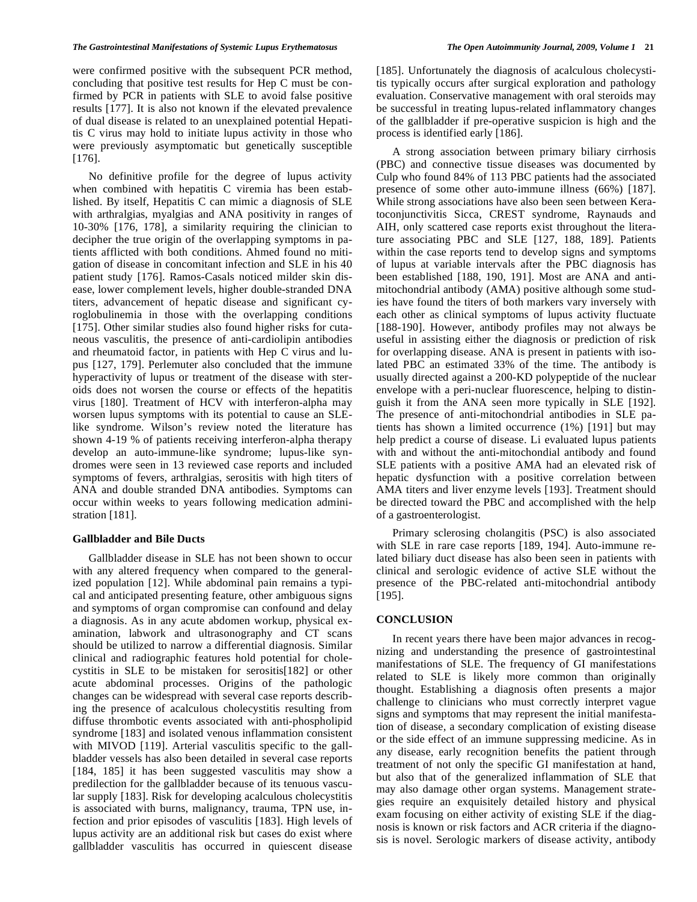were confirmed positive with the subsequent PCR method, concluding that positive test results for Hep C must be confirmed by PCR in patients with SLE to avoid false positive results [177]. It is also not known if the elevated prevalence of dual disease is related to an unexplained potential Hepatitis C virus may hold to initiate lupus activity in those who were previously asymptomatic but genetically susceptible [176].

 No definitive profile for the degree of lupus activity when combined with hepatitis C viremia has been established. By itself, Hepatitis C can mimic a diagnosis of SLE with arthralgias, myalgias and ANA positivity in ranges of 10-30% [176, 178], a similarity requiring the clinician to decipher the true origin of the overlapping symptoms in patients afflicted with both conditions. Ahmed found no mitigation of disease in concomitant infection and SLE in his 40 patient study [176]. Ramos-Casals noticed milder skin disease, lower complement levels, higher double-stranded DNA titers, advancement of hepatic disease and significant cyroglobulinemia in those with the overlapping conditions [175]. Other similar studies also found higher risks for cutaneous vasculitis, the presence of anti-cardiolipin antibodies and rheumatoid factor, in patients with Hep C virus and lupus [127, 179]. Perlemuter also concluded that the immune hyperactivity of lupus or treatment of the disease with steroids does not worsen the course or effects of the hepatitis virus [180]. Treatment of HCV with interferon-alpha may worsen lupus symptoms with its potential to cause an SLElike syndrome. Wilson's review noted the literature has shown 4-19 % of patients receiving interferon-alpha therapy develop an auto-immune-like syndrome; lupus-like syndromes were seen in 13 reviewed case reports and included symptoms of fevers, arthralgias, serositis with high titers of ANA and double stranded DNA antibodies. Symptoms can occur within weeks to years following medication administration [181].

# **Gallbladder and Bile Ducts**

 Gallbladder disease in SLE has not been shown to occur with any altered frequency when compared to the generalized population [12]. While abdominal pain remains a typical and anticipated presenting feature, other ambiguous signs and symptoms of organ compromise can confound and delay a diagnosis. As in any acute abdomen workup, physical examination, labwork and ultrasonography and CT scans should be utilized to narrow a differential diagnosis. Similar clinical and radiographic features hold potential for cholecystitis in SLE to be mistaken for serositis[182] or other acute abdominal processes. Origins of the pathologic changes can be widespread with several case reports describing the presence of acalculous cholecystitis resulting from diffuse thrombotic events associated with anti-phospholipid syndrome [183] and isolated venous inflammation consistent with MIVOD [119]. Arterial vasculitis specific to the gallbladder vessels has also been detailed in several case reports [184, 185] it has been suggested vasculitis may show a predilection for the gallbladder because of its tenuous vascular supply [183]. Risk for developing acalculous cholecystitis is associated with burns, malignancy, trauma, TPN use, infection and prior episodes of vasculitis [183]. High levels of lupus activity are an additional risk but cases do exist where gallbladder vasculitis has occurred in quiescent disease

[185]. Unfortunately the diagnosis of acalculous cholecystitis typically occurs after surgical exploration and pathology evaluation. Conservative management with oral steroids may be successful in treating lupus-related inflammatory changes of the gallbladder if pre-operative suspicion is high and the process is identified early [186].

 A strong association between primary biliary cirrhosis (PBC) and connective tissue diseases was documented by Culp who found 84% of 113 PBC patients had the associated presence of some other auto-immune illness (66%) [187]. While strong associations have also been seen between Keratoconjunctivitis Sicca, CREST syndrome, Raynauds and AIH, only scattered case reports exist throughout the literature associating PBC and SLE [127, 188, 189]. Patients within the case reports tend to develop signs and symptoms of lupus at variable intervals after the PBC diagnosis has been established [188, 190, 191]. Most are ANA and antimitochondrial antibody (AMA) positive although some studies have found the titers of both markers vary inversely with each other as clinical symptoms of lupus activity fluctuate [188-190]. However, antibody profiles may not always be useful in assisting either the diagnosis or prediction of risk for overlapping disease. ANA is present in patients with isolated PBC an estimated 33% of the time. The antibody is usually directed against a 200-KD polypeptide of the nuclear envelope with a peri-nuclear fluorescence, helping to distinguish it from the ANA seen more typically in SLE [192]. The presence of anti-mitochondrial antibodies in SLE patients has shown a limited occurrence (1%) [191] but may help predict a course of disease. Li evaluated lupus patients with and without the anti-mitochondial antibody and found SLE patients with a positive AMA had an elevated risk of hepatic dysfunction with a positive correlation between AMA titers and liver enzyme levels [193]. Treatment should be directed toward the PBC and accomplished with the help of a gastroenterologist.

 Primary sclerosing cholangitis (PSC) is also associated with SLE in rare case reports [189, 194]. Auto-immune related biliary duct disease has also been seen in patients with clinical and serologic evidence of active SLE without the presence of the PBC-related anti-mitochondrial antibody [195].

# **CONCLUSION**

In recent years there have been major advances in recognizing and understanding the presence of gastrointestinal manifestations of SLE. The frequency of GI manifestations related to SLE is likely more common than originally thought. Establishing a diagnosis often presents a major challenge to clinicians who must correctly interpret vague signs and symptoms that may represent the initial manifestation of disease, a secondary complication of existing disease or the side effect of an immune suppressing medicine. As in any disease, early recognition benefits the patient through treatment of not only the specific GI manifestation at hand, but also that of the generalized inflammation of SLE that may also damage other organ systems. Management strategies require an exquisitely detailed history and physical exam focusing on either activity of existing SLE if the diagnosis is known or risk factors and ACR criteria if the diagnosis is novel. Serologic markers of disease activity, antibody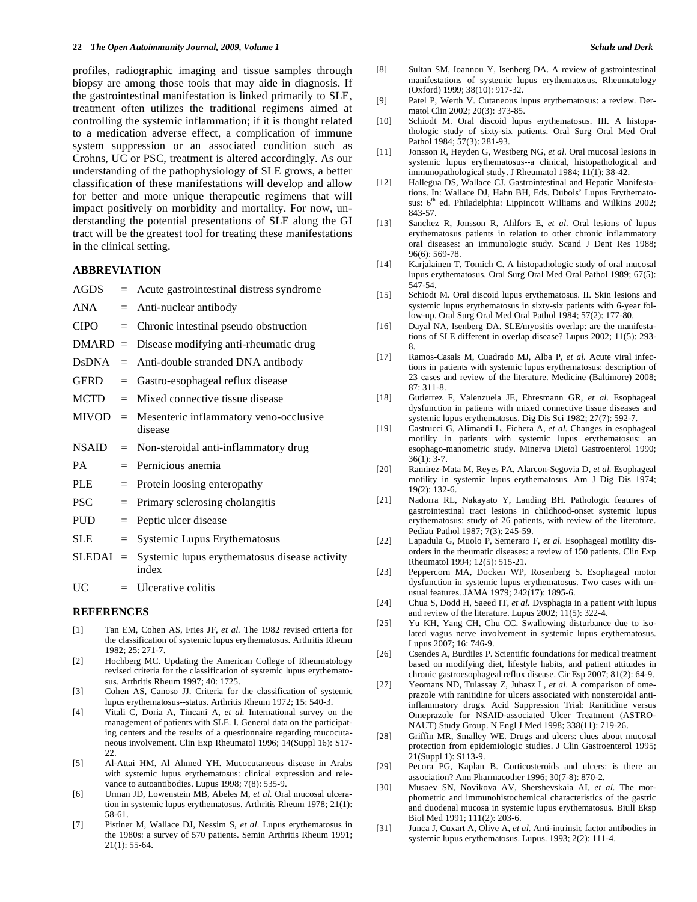profiles, radiographic imaging and tissue samples through biopsy are among those tools that may aide in diagnosis. If the gastrointestinal manifestation is linked primarily to SLE, treatment often utilizes the traditional regimens aimed at controlling the systemic inflammation; if it is thought related to a medication adverse effect, a complication of immune system suppression or an associated condition such as Crohns, UC or PSC, treatment is altered accordingly. As our understanding of the pathophysiology of SLE grows, a better classification of these manifestations will develop and allow for better and more unique therapeutic regimens that will impact positively on morbidity and mortality. For now, understanding the potential presentations of SLE along the GI tract will be the greatest tool for treating these manifestations in the clinical setting.

# **ABBREVIATION**

| AGDS         |     | $=$ Acute gastrointestinal distress syndrome                |
|--------------|-----|-------------------------------------------------------------|
| ANA          |     | $=$ Anti-nuclear antibody                                   |
| <b>CIPO</b>  |     | $=$ Chronic intestinal pseudo obstruction                   |
| $DMARD =$    |     | Disease modifying anti-rheumatic drug                       |
| DsDNA        |     | $=$ Anti-double stranded DNA antibody                       |
| GERD         | $=$ | Gastro-esophageal reflux disease                            |
| MCTD         |     | $=$ Mixed connective tissue disease                         |
|              |     | $MIVOD = Mesenteric inflammatory veno-occlusive$<br>disease |
| <b>NSAID</b> |     | $=$ Non-steroidal anti-inflammatory drug                    |
| <b>PA</b>    |     | $=$ Pernicious anemia                                       |
| PLE          | $=$ | Protein loosing enteropathy                                 |
| PSC          | $=$ | Primary sclerosing cholangitis                              |
| <b>PUD</b>   | $=$ | Peptic ulcer disease                                        |
| SLE          | $=$ | Systemic Lupus Erythematosus                                |
| $SLEDAI =$   |     | Systemic lupus erythematosus disease activity<br>index      |
| UC           |     | $=$ Ulcerative colitis                                      |

## **REFERENCES**

- [1] Tan EM, Cohen AS, Fries JF, *et al.* The 1982 revised criteria for the classification of systemic lupus erythematosus. Arthritis Rheum 1982; 25: 271-7.
- [2] Hochberg MC. Updating the American College of Rheumatology revised criteria for the classification of systemic lupus erythematosus. Arthritis Rheum 1997; 40: 1725.
- [3] Cohen AS, Canoso JJ. Criteria for the classification of systemic lupus erythematosus--status. Arthritis Rheum 1972; 15: 540-3.
- [4] Vitali C, Doria A, Tincani A, *et al.* International survey on the management of patients with SLE. I. General data on the participating centers and the results of a questionnaire regarding mucocutaneous involvement. Clin Exp Rheumatol 1996; 14(Suppl 16): S17- 22.
- [5] Al-Attai HM, Al Ahmed YH. Mucocutaneous disease in Arabs with systemic lupus erythematosus: clinical expression and relevance to autoantibodies. Lupus 1998; 7(8): 535-9.
- [6] Urman JD, Lowenstein MB, Abeles M, *et al.* Oral mucosal ulceration in systemic lupus erythematosus. Arthritis Rheum 1978; 21(1): 58-61.
- [7] Pistiner M, Wallace DJ, Nessim S, *et al.* Lupus erythematosus in the 1980s: a survey of 570 patients. Semin Arthritis Rheum 1991;  $21(1): 55-64.$
- [8] Sultan SM, Ioannou Y, Isenberg DA. A review of gastrointestinal manifestations of systemic lupus erythematosus. Rheumatology (Oxford) 1999; 38(10): 917-32.
- [9] Patel P, Werth V. Cutaneous lupus erythematosus: a review. Dermatol Clin 2002; 20(3): 373-85.
- [10] Schiodt M. Oral discoid lupus erythematosus. III. A histopathologic study of sixty-six patients. Oral Surg Oral Med Oral Pathol 1984; 57(3): 281-93.
- [11] Jonsson R, Heyden G, Westberg NG, *et al.* Oral mucosal lesions in systemic lupus erythematosus--a clinical, histopathological and immunopathological study. J Rheumatol 1984; 11(1): 38-42.
- [12] Hallegua DS, Wallace CJ. Gastrointestinal and Hepatic Manifestations. In: Wallace DJ, Hahn BH, Eds. Dubois' Lupus Erythematosus: 6<sup>th</sup> ed. Philadelphia: Lippincott Williams and Wilkins 2002; 843-57.
- [13] Sanchez R, Jonsson R, Ahlfors E, *et al.* Oral lesions of lupus erythematosus patients in relation to other chronic inflammatory oral diseases: an immunologic study. Scand J Dent Res 1988; 96(6): 569-78.
- [14] Karjalainen T, Tomich C. A histopathologic study of oral mucosal lupus erythematosus. Oral Surg Oral Med Oral Pathol 1989; 67(5): 547-54.
- [15] Schiodt M. Oral discoid lupus erythematosus. II. Skin lesions and systemic lupus erythematosus in sixty-six patients with 6-year follow-up. Oral Surg Oral Med Oral Pathol 1984; 57(2): 177-80.
- [16] Dayal NA, Isenberg DA. SLE/myositis overlap: are the manifestations of SLE different in overlap disease? Lupus 2002; 11(5): 293- 8.
- [17] Ramos-Casals M, Cuadrado MJ, Alba P, *et al.* Acute viral infections in patients with systemic lupus erythematosus: description of 23 cases and review of the literature. Medicine (Baltimore) 2008; 87: 311-8.
- [18] Gutierrez F, Valenzuela JE, Ehresmann GR, *et al.* Esophageal dysfunction in patients with mixed connective tissue diseases and systemic lupus erythematosus. Dig Dis Sci 1982; 27(7): 592-7.
- [19] Castrucci G, Alimandi L, Fichera A, *et al.* Changes in esophageal motility in patients with systemic lupus erythematosus: an esophago-manometric study. Minerva Dietol Gastroenterol 1990; 36(1): 3-7.
- [20] Ramirez-Mata M, Reyes PA, Alarcon-Segovia D, *et al.* Esophageal motility in systemic lupus erythematosus. Am J Dig Dis 1974; 19(2): 132-6.
- [21] Nadorra RL, Nakayato Y, Landing BH. Pathologic features of gastrointestinal tract lesions in childhood-onset systemic lupus erythematosus: study of 26 patients, with review of the literature. Pediatr Pathol 1987; 7(3): 245-59.
- [22] Lapadula G, Muolo P, Semeraro F, *et al.* Esophageal motility disorders in the rheumatic diseases: a review of 150 patients. Clin Exp Rheumatol 1994; 12(5): 515-21.
- [23] Peppercorn MA, Docken WP, Rosenberg S. Esophageal motor dysfunction in systemic lupus erythematosus. Two cases with unusual features. JAMA 1979; 242(17): 1895-6.
- [24] Chua S, Dodd H, Saeed IT, *et al.* Dysphagia in a patient with lupus and review of the literature. Lupus 2002; 11(5): 322-4.
- [25] Yu KH, Yang CH, Chu CC. Swallowing disturbance due to isolated vagus nerve involvement in systemic lupus erythematosus. Lupus 2007; 16: 746-9.
- [26] Csendes A, Burdiles P. Scientific foundations for medical treatment based on modifying diet, lifestyle habits, and patient attitudes in chronic gastroesophageal reflux disease. Cir Esp 2007; 81(2): 64-9.
- [27] Yeomans ND, Tulassay Z, Juhasz L, *et al.* A comparison of omeprazole with ranitidine for ulcers associated with nonsteroidal antiinflammatory drugs. Acid Suppression Trial: Ranitidine versus Omeprazole for NSAID-associated Ulcer Treatment (ASTRO-NAUT) Study Group. N Engl J Med 1998; 338(11): 719-26.
- [28] Griffin MR, Smalley WE. Drugs and ulcers: clues about mucosal protection from epidemiologic studies. J Clin Gastroenterol 1995; 21(Suppl 1): S113-9.
- [29] Pecora PG, Kaplan B. Corticosteroids and ulcers: is there an association? Ann Pharmacother 1996; 30(7-8): 870-2.
- [30] Musaev SN, Novikova AV, Shershevskaia AI, *et al.* The morphometric and immunohistochemical characteristics of the gastric and duodenal mucosa in systemic lupus erythematosus. Biull Eksp Biol Med 1991; 111(2): 203-6.
- [31] Junca J, Cuxart A, Olive A, *et al.* Anti-intrinsic factor antibodies in systemic lupus erythematosus. Lupus. 1993; 2(2): 111-4.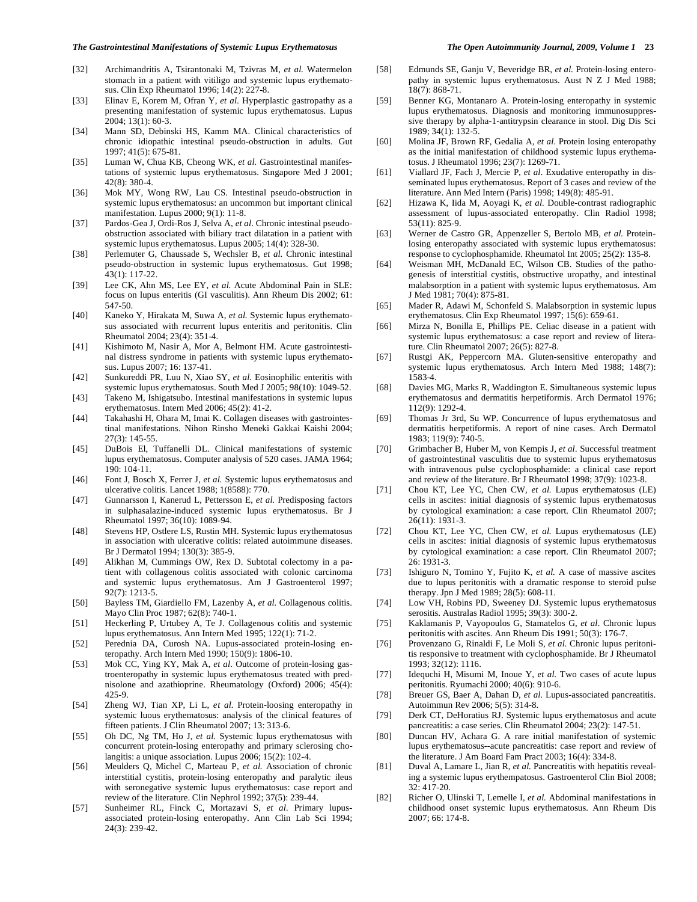- [32] Archimandritis A, Tsirantonaki M, Tzivras M, *et al.* Watermelon stomach in a patient with vitiligo and systemic lupus erythematosus. Clin Exp Rheumatol 1996; 14(2): 227-8.
- [33] Elinav E, Korem M, Ofran Y, et al. Hyperplastic gastropathy as a presenting manifestation of systemic lupus erythematosus. Lupus 2004; 13(1): 60-3.
- [34] Mann SD, Debinski HS, Kamm MA. Clinical characteristics of chronic idiopathic intestinal pseudo-obstruction in adults. Gut 1997; 41(5): 675-81.
- [35] Luman W, Chua KB, Cheong WK, et al. Gastrointestinal manifestations of systemic lupus erythematosus. Singapore Med J 2001; 42(8): 380-4.
- [36] Mok MY, Wong RW, Lau CS. Intestinal pseudo-obstruction in systemic lupus erythematosus: an uncommon but important clinical manifestation. Lupus 2000; 9(1): 11-8.
- [37] Pardos-Gea J, Ordi-Ros J, Selva A, *et al.* Chronic intestinal pseudoobstruction associated with biliary tract dilatation in a patient with systemic lupus erythematosus. Lupus 2005; 14(4): 328-30.
- [38] Perlemuter G, Chaussade S, Wechsler B, *et al.* Chronic intestinal pseudo-obstruction in systemic lupus erythematosus. Gut 1998; 43(1): 117-22.
- [39] Lee CK, Ahn MS, Lee EY, et al. Acute Abdominal Pain in SLE: focus on lupus enteritis (GI vasculitis). Ann Rheum Dis 2002; 61: 547-50.
- [40] Kaneko Y, Hirakata M, Suwa A, *et al.* Systemic lupus erythematosus associated with recurrent lupus enteritis and peritonitis. Clin Rheumatol 2004; 23(4): 351-4.
- [41] Kishimoto M, Nasir A, Mor A, Belmont HM. Acute gastrointestinal distress syndrome in patients with systemic lupus erythematosus. Lupus 2007; 16: 137-41.
- [42] Sunkureddi PR, Luu N, Xiao SY, *et al.* Eosinophilic enteritis with systemic lupus erythematosus. South Med J 2005; 98(10): 1049-52.
- [43] Takeno M, Ishigatsubo. Intestinal manifestations in systemic lupus erythematosus. Intern Med 2006; 45(2): 41-2.
- [44] Takahashi H, Ohara M, Imai K. Collagen diseases with gastrointestinal manifestations. Nihon Rinsho Meneki Gakkai Kaishi 2004; 27(3): 145-55.
- [45] DuBois El, Tuffanelli DL. Clinical manifestations of systemic lupus erythematosus. Computer analysis of 520 cases. JAMA 1964; 190: 104-11.
- [46] Font J, Bosch X, Ferrer J, et al. Systemic lupus erythematosus and ulcerative colitis. Lancet 1988; 1(8588): 770.
- [47] Gunnarsson I, Kanerud L, Pettersson E, *et al.* Predisposing factors in sulphasalazine-induced systemic lupus erythematosus. Br J Rheumatol 1997; 36(10): 1089-94.
- [48] Stevens HP, Ostlere LS, Rustin MH. Systemic lupus erythematosus in association with ulcerative colitis: related autoimmune diseases. Br J Dermatol 1994; 130(3): 385-9.
- [49] Alikhan M, Cummings OW, Rex D. Subtotal colectomy in a patient with collagenous colitis associated with colonic carcinoma and systemic lupus erythematosus. Am J Gastroenterol 1997; 92(7): 1213-5.
- [50] Bayless TM, Giardiello FM, Lazenby A, *et al.* Collagenous colitis. Mayo Clin Proc 1987; 62(8): 740-1.
- [51] Heckerling P, Urtubey A, Te J. Collagenous colitis and systemic lupus erythematosus. Ann Intern Med 1995; 122(1): 71-2.
- [52] Perednia DA, Curosh NA. Lupus-associated protein-losing enteropathy. Arch Intern Med 1990; 150(9): 1806-10.
- [53] Mok CC, Ying KY, Mak A, et al. Outcome of protein-losing gastroenteropathy in systemic lupus erythematosus treated with prednisolone and azathioprine. Rheumatology (Oxford) 2006; 45(4): 425-9.
- [54] Zheng WJ, Tian XP, Li L, et al. Protein-loosing enteropathy in systemic luous erythematosus: analysis of the clinical features of fifteen patients. J Clin Rheumatol 2007; 13: 313-6.
- [55] Oh DC, Ng TM, Ho J, et al. Systemic lupus erythematosus with concurrent protein-losing enteropathy and primary sclerosing cholangitis: a unique association. Lupus 2006; 15(2): 102-4.
- [56] Meulders Q, Michel C, Marteau P, et al. Association of chronic interstitial cystitis, protein-losing enteropathy and paralytic ileus with seronegative systemic lupus erythematosus: case report and review of the literature. Clin Nephrol 1992; 37(5): 239-44.
- [57] Sunheimer RL, Finck C, Mortazavi S, *et al.* Primary lupusassociated protein-losing enteropathy. Ann Clin Lab Sci 1994; 24(3): 239-42.
- [58] Edmunds SE, Ganju V, Beveridge BR, *et al.* Protein-losing enteropathy in systemic lupus erythematosus. Aust N Z J Med 1988; 18(7): 868-71.
- [59] Benner KG, Montanaro A. Protein-losing enteropathy in systemic lupus erythematosus. Diagnosis and monitoring immunosuppressive therapy by alpha-1-antitrypsin clearance in stool. Dig Dis Sci 1989; 34(1): 132-5.
- [60] Molina JF, Brown RF, Gedalia A, *et al.* Protein losing enteropathy as the initial manifestation of childhood systemic lupus erythematosus. J Rheumatol 1996; 23(7): 1269-71.
- [61] Viallard JF, Fach J, Mercie P, et al. Exudative enteropathy in disseminated lupus erythematosus. Report of 3 cases and review of the literature. Ann Med Intern (Paris) 1998; 149(8): 485-91.
- [62] Hizawa K, Iida M, Aoyagi K, *et al.* Double-contrast radiographic assessment of lupus-associated enteropathy. Clin Radiol 1998; 53(11): 825-9.
- [63] Werner de Castro GR, Appenzeller S, Bertolo MB, *et al.* Proteinlosing enteropathy associated with systemic lupus erythematosus: response to cyclophosphamide. Rheumatol Int 2005; 25(2): 135-8.
- [64] Weisman MH, McDanald EC, Wilson CB. Studies of the pathogenesis of interstitial cystitis, obstructive uropathy, and intestinal malabsorption in a patient with systemic lupus erythematosus. Am J Med 1981; 70(4): 875-81.
- [65] Mader R, Adawi M, Schonfeld S. Malabsorption in systemic lupus erythematosus. Clin Exp Rheumatol 1997; 15(6): 659-61.
- [66] Mirza N, Bonilla E, Phillips PE. Celiac disease in a patient with systemic lupus erythematosus: a case report and review of literature. Clin Rheumatol 2007; 26(5): 827-8.
- [67] Rustgi AK, Peppercorn MA. Gluten-sensitive enteropathy and systemic lupus erythematosus. Arch Intern Med 1988; 148(7): 1583-4.
- [68] Davies MG, Marks R, Waddington E. Simultaneous systemic lupus erythematosus and dermatitis herpetiformis. Arch Dermatol 1976; 112(9): 1292-4.
- [69] Thomas Jr 3rd, Su WP. Concurrence of lupus erythematosus and dermatitis herpetiformis. A report of nine cases. Arch Dermatol 1983; 119(9): 740-5.
- [70] Grimbacher B, Huber M, von Kempis J, *et al.* Successful treatment of gastrointestinal vasculitis due to systemic lupus erythematosus with intravenous pulse cyclophosphamide: a clinical case report and review of the literature. Br J Rheumatol 1998; 37(9): 1023-8.
- [71] Chou KT, Lee YC, Chen CW, *et al.* Lupus erythematosus (LE) cells in ascites: initial diagnosis of systemic lupus erythematosus by cytological examination: a case report. Clin Rheumatol 2007; 26(11): 1931-3.
- [72] Chou KT, Lee YC, Chen CW, *et al.* Lupus erythematosus (LE) cells in ascites: initial diagnosis of systemic lupus erythematosus by cytological examination: a case report. Clin Rheumatol 2007; 26: 1931-3.
- [73] Ishiguro N, Tomino Y, Fujito K, *et al.* A case of massive ascites due to lupus peritonitis with a dramatic response to steroid pulse therapy. Jpn J Med 1989; 28(5): 608-11.
- [74] Low VH, Robins PD, Sweeney DJ. Systemic lupus erythematosus serositis. Australas Radiol 1995; 39(3): 300-2.
- [75] Kaklamanis P, Vayopoulos G, Stamatelos G, *et al.* Chronic lupus peritonitis with ascites. Ann Rheum Dis 1991; 50(3): 176-7.
- [76] Provenzano G, Rinaldi F, Le Moli S, *et al.* Chronic lupus peritonitis responsive to treatment with cyclophosphamide. Br J Rheumatol 1993; 32(12): 1116.
- [77] Idequchi H, Misumi M, Inoue Y, *et al.* Two cases of acute lupus peritonitis. Ryumachi 2000; 40(6): 910-6.
- [78] Breuer GS, Baer A, Dahan D, *et al.* Lupus-associated pancreatitis. Autoimmun Rev 2006; 5(5): 314-8.
- [79] Derk CT, DeHoratius RJ. Systemic lupus erythematosus and acute pancreatitis: a case series. Clin Rheumatol 2004; 23(2): 147-51.
- [80] Duncan HV, Achara G. A rare initial manifestation of systemic lupus erythematosus--acute pancreatitis: case report and review of the literature. J Am Board Fam Pract 2003; 16(4): 334-8.
- [81] Duval A, Lamare L, Jian R, *et al.* Pancreatitis with hepatitis revealing a systemic lupus erythempatosus. Gastroenterol Clin Biol 2008; 32: 417-20.
- [82] Richer O, Ulinski T, Lemelle I, *et al.* Abdominal manifestations in childhood onset systemic lupus erythematosus. Ann Rheum Dis 2007; 66: 174-8.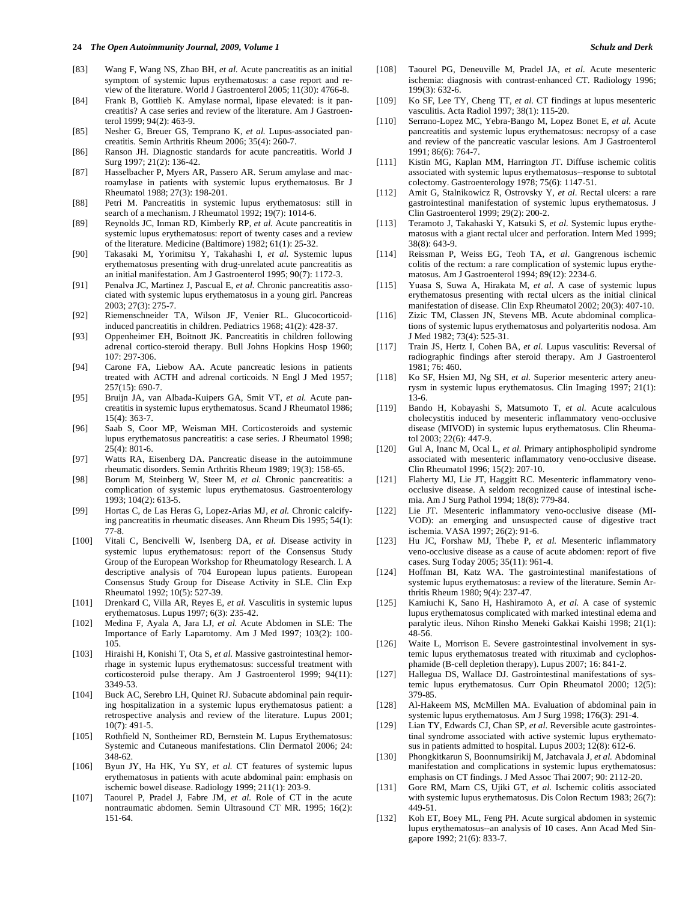#### **24** *The Open Autoimmunity Journal, 2009, Volume 1 Schulz and Derk*

- [83] Wang F, Wang NS, Zhao BH, *et al.* Acute pancreatitis as an initial symptom of systemic lupus erythematosus: a case report and review of the literature. World J Gastroenterol 2005; 11(30): 4766-8.
- [84] Frank B, Gottlieb K. Amylase normal, lipase elevated: is it pancreatitis? A case series and review of the literature. Am J Gastroenterol 1999; 94(2): 463-9.
- [85] Nesher G, Breuer GS, Temprano K, *et al.* Lupus-associated pancreatitis. Semin Arthritis Rheum 2006; 35(4): 260-7.
- [86] Ranson JH. Diagnostic standards for acute pancreatitis. World J Surg 1997; 21(2): 136-42.
- [87] Hasselbacher P, Myers AR, Passero AR. Serum amylase and macroamylase in patients with systemic lupus erythematosus. Br J Rheumatol 1988; 27(3): 198-201.
- [88] Petri M. Pancreatitis in systemic lupus erythematosus: still in search of a mechanism. J Rheumatol 1992; 19(7): 1014-6.
- [89] Reynolds JC, Inman RD, Kimberly RP, *et al.* Acute pancreatitis in systemic lupus erythematosus: report of twenty cases and a review of the literature. Medicine (Baltimore) 1982; 61(1): 25-32.
- [90] Takasaki M, Yorimitsu Y, Takahashi I, *et al.* Systemic lupus erythematosus presenting with drug-unrelated acute pancreatitis as an initial manifestation. Am J Gastroenterol 1995; 90(7): 1172-3.
- [91] Penalva JC, Martinez J, Pascual E, *et al.* Chronic pancreatitis associated with systemic lupus erythematosus in a young girl. Pancreas 2003; 27(3): 275-7.
- [92] Riemenschneider TA, Wilson JF, Venier RL. Glucocorticoidinduced pancreatitis in children. Pediatrics 1968; 41(2): 428-37.
- [93] Oppenheimer EH, Boitnott JK. Pancreatitis in children following adrenal cortico-steroid therapy. Bull Johns Hopkins Hosp 1960; 107: 297-306.
- [94] Carone FA, Liebow AA. Acute pancreatic lesions in patients treated with ACTH and adrenal corticoids. N Engl J Med 1957; 257(15): 690-7.
- [95] Bruijn JA, van Albada-Kuipers GA, Smit VT, *et al.* Acute pancreatitis in systemic lupus erythematosus. Scand J Rheumatol 1986; 15(4): 363-7.
- [96] Saab S, Coor MP, Weisman MH. Corticosteroids and systemic lupus erythematosus pancreatitis: a case series. J Rheumatol 1998;  $25(4)$ : 801-6.
- [97] Watts RA, Eisenberg DA. Pancreatic disease in the autoimmune rheumatic disorders. Semin Arthritis Rheum 1989; 19(3): 158-65.
- [98] Borum M, Steinberg W, Steer M, *et al.* Chronic pancreatitis: a complication of systemic lupus erythematosus. Gastroenterology 1993; 104(2): 613-5.
- [99] Hortas C, de Las Heras G, Lopez-Arias MJ, *et al.* Chronic calcifying pancreatitis in rheumatic diseases. Ann Rheum Dis 1995; 54(1): 77-8.
- [100] Vitali C, Bencivelli W, Isenberg DA, *et al.* Disease activity in systemic lupus erythematosus: report of the Consensus Study Group of the European Workshop for Rheumatology Research. I. A descriptive analysis of 704 European lupus patients. European Consensus Study Group for Disease Activity in SLE. Clin Exp Rheumatol 1992; 10(5): 527-39.
- [101] Drenkard C, Villa AR, Reyes E, *et al.* Vasculitis in systemic lupus erythematosus. Lupus 1997; 6(3): 235-42.
- [102] Medina F, Ayala A, Jara LJ, *et al.* Acute Abdomen in SLE: The Importance of Early Laparotomy. Am J Med 1997; 103(2): 100- 105.
- [103] Hiraishi H, Konishi T, Ota S, *et al.* Massive gastrointestinal hemorrhage in systemic lupus erythematosus: successful treatment with corticosteroid pulse therapy. Am J Gastroenterol 1999; 94(11): 3349-53.
- [104] Buck AC, Serebro LH, Quinet RJ. Subacute abdominal pain requiring hospitalization in a systemic lupus erythematosus patient: a retrospective analysis and review of the literature. Lupus 2001; 10(7): 491-5.
- [105] Rothfield N, Sontheimer RD, Bernstein M. Lupus Erythematosus: Systemic and Cutaneous manifestations. Clin Dermatol 2006; 24: 348-62.
- [106] Byun JY, Ha HK, Yu SY, et al. CT features of systemic lupus erythematosus in patients with acute abdominal pain: emphasis on ischemic bowel disease. Radiology 1999; 211(1): 203-9.
- [107] Taourel P, Pradel J, Fabre JM, *et al.* Role of CT in the acute nontraumatic abdomen. Semin Ultrasound CT MR. 1995; 16(2): 151-64.
- [108] Taourel PG, Deneuville M, Pradel JA, *et al.* Acute mesenteric ischemia: diagnosis with contrast-enhanced CT. Radiology 1996; 199(3): 632-6.
- [109] Ko SF, Lee TY, Cheng TT, *et al.* CT findings at lupus mesenteric vasculitis. Acta Radiol 1997; 38(1): 115-20.
- [110] Serrano-Lopez MC, Yebra-Bango M, Lopez Bonet E, *et al.* Acute pancreatitis and systemic lupus erythematosus: necropsy of a case and review of the pancreatic vascular lesions. Am J Gastroenterol 1991; 86(6): 764-7.
- [111] Kistin MG, Kaplan MM, Harrington JT. Diffuse ischemic colitis associated with systemic lupus erythematosus--response to subtotal colectomy. Gastroenterology 1978; 75(6): 1147-51.
- [112] Amit G, Stalnikowicz R, Ostrovsky Y, *et al*. Rectal ulcers: a rare gastrointestinal manifestation of systemic lupus erythematosus. J Clin Gastroenterol 1999; 29(2): 200-2.
- [113] Teramoto J, Takahaski Y, Katsuki S, *et al.* Systemic lupus erythematosus with a giant rectal ulcer and perforation. Intern Med 1999; 38(8): 643-9.
- [114] Reissman P, Weiss EG, Teoh TA, *et al.* Gangrenous ischemic colitis of the rectum: a rare complication of systemic lupus erythematosus. Am J Gastroenterol 1994; 89(12): 2234-6.
- [115] Yuasa S, Suwa A, Hirakata M, *et al.* A case of systemic lupus erythematosus presenting with rectal ulcers as the initial clinical manifestation of disease. Clin Exp Rheumatol 2002; 20(3): 407-10.
- [116] Zizic TM, Classen JN, Stevens MB. Acute abdominal complications of systemic lupus erythematosus and polyarteritis nodosa. Am J Med 1982; 73(4): 525-31.
- [117] Train JS, Hertz I, Cohen BA, *et al.* Lupus vasculitis: Reversal of radiographic findings after steroid therapy. Am J Gastroenterol 1981; 76: 460.
- [118] Ko SF, Hsien MJ, Ng SH, *et al.* Superior mesenteric artery aneurysm in systemic lupus erythematosus. Clin Imaging 1997; 21(1): 13-6.
- [119] Bando H, Kobayashi S, Matsumoto T, *et al.* Acute acalculous cholecystitis induced by mesenteric inflammatory veno-occlusive disease (MIVOD) in systemic lupus erythematosus. Clin Rheumatol 2003; 22(6): 447-9.
- [120] Gul A, Inanc M, Ocal L, *et al.* Primary antiphospholipid syndrome associated with mesenteric inflammatory veno-occlusive disease. Clin Rheumatol 1996; 15(2): 207-10.
- [121] Flaherty MJ, Lie JT, Haggitt RC. Mesenteric inflammatory venoocclusive disease. A seldom recognized cause of intestinal ischemia. Am J Surg Pathol 1994; 18(8): 779-84.
- [122] Lie JT. Mesenteric inflammatory veno-occlusive disease (MI-VOD): an emerging and unsuspected cause of digestive tract ischemia. VASA 1997; 26(2): 91-6.
- [123] Hu JC, Forshaw MJ, Thebe P, *et al.* Mesenteric inflammatory veno-occlusive disease as a cause of acute abdomen: report of five cases. Surg Today 2005; 35(11): 961-4.
- [124] Hoffman BI, Katz WA. The gastrointestinal manifestations of systemic lupus erythematosus: a review of the literature. Semin Arthritis Rheum 1980; 9(4): 237-47.
- [125] Kamiuchi K, Sano H, Hashiramoto A, *et al.* A case of systemic lupus erythematosus complicated with marked intestinal edema and paralytic ileus. Nihon Rinsho Meneki Gakkai Kaishi 1998; 21(1): 48-56.
- [126] Waite L, Morrison E. Severe gastrointestinal involvement in systemic lupus erythematosus treated with rituximab and cyclophosphamide (B-cell depletion therapy). Lupus 2007; 16: 841-2.
- [127] Hallegua DS, Wallace DJ. Gastrointestinal manifestations of systemic lupus erythematosus. Curr Opin Rheumatol 2000; 12(5): 379-85.
- [128] Al-Hakeem MS, McMillen MA. Evaluation of abdominal pain in systemic lupus erythematosus. Am J Surg 1998; 176(3): 291-4.
- [129] Lian TY, Edwards CJ, Chan SP, *et al.* Reversible acute gastrointestinal syndrome associated with active systemic lupus erythematosus in patients admitted to hospital. Lupus 2003; 12(8): 612-6.
- [130] Phongkitkarun S, Boonnumsirikij M, Jatchavala J, *et al.* Abdominal manifestation and complications in systemic lupus erythematosus: emphasis on CT findings. J Med Assoc Thai 2007; 90: 2112-20.
- [131] Gore RM, Marn CS, Ujiki GT, et al. Ischemic colitis associated with systemic lupus erythematosus. Dis Colon Rectum 1983; 26(7): 449-51.
- [132] Koh ET, Boey ML, Feng PH. Acute surgical abdomen in systemic lupus erythematosus--an analysis of 10 cases. Ann Acad Med Singapore 1992; 21(6): 833-7.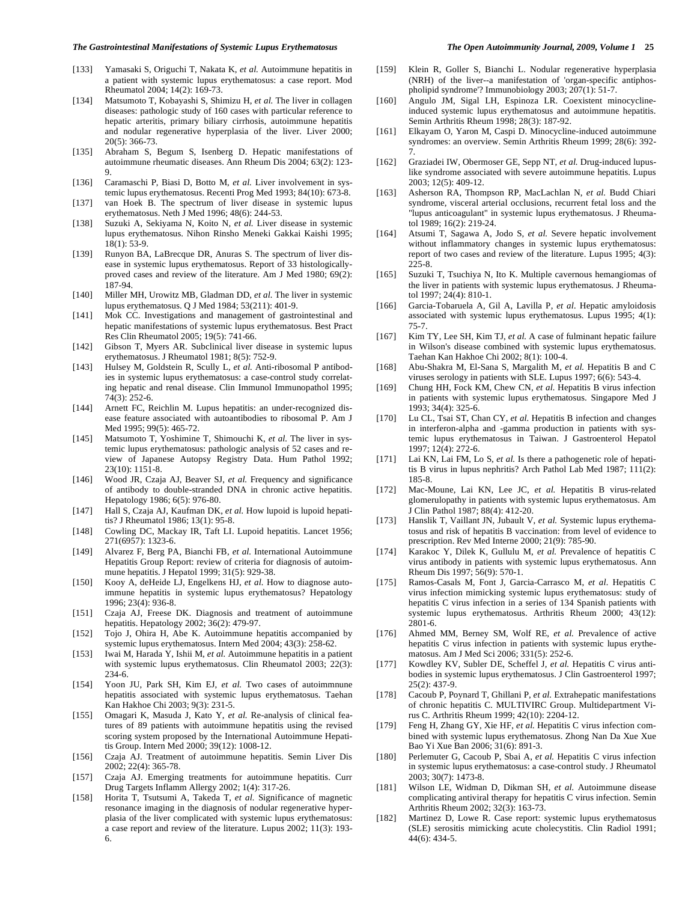- [134] Matsumoto T, Kobayashi S, Shimizu H, *et al.* The liver in collagen diseases: pathologic study of 160 cases with particular reference to hepatic arteritis, primary biliary cirrhosis, autoimmune hepatitis and nodular regenerative hyperplasia of the liver. Liver 2000; 20(5): 366-73.
- [135] Abraham S, Begum S, Isenberg D. Hepatic manifestations of autoimmune rheumatic diseases. Ann Rheum Dis 2004; 63(2): 123- 9.
- [136] Caramaschi P, Biasi D, Botto M, et al. Liver involvement in systemic lupus erythematosus. Recenti Prog Med 1993; 84(10): 673-8.
- [137] van Hoek B. The spectrum of liver disease in systemic lupus erythematosus. Neth J Med 1996; 48(6): 244-53.
- [138] Suzuki A, Sekiyama N, Koito N, *et al.* Liver disease in systemic lupus erythematosus. Nihon Rinsho Meneki Gakkai Kaishi 1995; 18(1): 53-9.
- [139] Runyon BA, LaBrecque DR, Anuras S. The spectrum of liver disease in systemic lupus erythematosus. Report of 33 histologicallyproved cases and review of the literature. Am J Med 1980; 69(2): 187-94.
- [140] Miller MH, Urowitz MB, Gladman DD, *et al.* The liver in systemic lupus erythematosus. Q J Med 1984; 53(211): 401-9.
- [141] Mok CC. Investigations and management of gastrointestinal and hepatic manifestations of systemic lupus erythematosus. Best Pract Res Clin Rheumatol 2005; 19(5): 741-66.
- [142] Gibson T, Myers AR. Subclinical liver disease in systemic lupus erythematosus. J Rheumatol 1981; 8(5): 752-9.
- [143] Hulsey M, Goldstein R, Scully L, *et al.* Anti-ribosomal P antibodies in systemic lupus erythematosus: a case-control study correlating hepatic and renal disease. Clin Immunol Immunopathol 1995; 74(3): 252-6.
- [144] Arnett FC, Reichlin M. Lupus hepatitis: an under-recognized disease feature associated with autoantibodies to ribosomal P. Am J Med 1995; 99(5): 465-72.
- [145] Matsumoto T, Yoshimine T, Shimouchi K, et al. The liver in systemic lupus erythematosus: pathologic analysis of 52 cases and review of Japanese Autopsy Registry Data. Hum Pathol 1992; 23(10): 1151-8.
- [146] Wood JR, Czaja AJ, Beaver SJ, et al. Frequency and significance of antibody to double-stranded DNA in chronic active hepatitis. Hepatology 1986; 6(5): 976-80.
- [147] Hall S, Czaja AJ, Kaufman DK, et al. How lupoid is lupoid hepatitis? J Rheumatol 1986; 13(1): 95-8.
- [148] Cowling DC, Mackay IR, Taft LI. Lupoid hepatitis. Lancet 1956; 271(6957): 1323-6.
- [149] Alvarez F, Berg PA, Bianchi FB, *et al.* International Autoimmune Hepatitis Group Report: review of criteria for diagnosis of autoimmune hepatitis. J Hepatol 1999; 31(5): 929-38.
- [150] Kooy A, deHeide LJ, Engelkens HJ, et al. How to diagnose autoimmune hepatitis in systemic lupus erythematosus? Hepatology 1996; 23(4): 936-8.
- [151] Czaja AJ, Freese DK. Diagnosis and treatment of autoimmune hepatitis. Hepatology 2002; 36(2): 479-97.
- [152] Tojo J, Ohira H, Abe K. Autoimmune hepatitis accompanied by systemic lupus erythematosus. Intern Med 2004; 43(3): 258-62.
- [153] Iwai M, Harada Y, Ishii M, *et al.* Autoimmune hepatitis in a patient with systemic lupus erythematosus. Clin Rheumatol 2003; 22(3): 234-6.
- [154] Yoon JU, Park SH, Kim EJ, et al. Two cases of autoimmnune hepatitis associated with systemic lupus erythematosus. Taehan Kan Hakhoe Chi 2003; 9(3): 231-5.
- [155] Omagari K, Masuda J, Kato Y, *et al.* Re-analysis of clinical features of 89 patients with autoimmune hepatitis using the revised scoring system proposed by the International Autoimmune Hepatitis Group. Intern Med 2000; 39(12): 1008-12.
- [156] Czaja AJ. Treatment of autoimmune hepatitis. Semin Liver Dis 2002; 22(4): 365-78.
- [157] Czaja AJ. Emerging treatments for autoimmune hepatitis. Curr Drug Targets Inflamm Allergy 2002; 1(4): 317-26.
- [158] Horita T, Tsutsumi A, Takeda T, *et al.* Significance of magnetic resonance imaging in the diagnosis of nodular regenerative hyperplasia of the liver complicated with systemic lupus erythematosus: a case report and review of the literature. Lupus 2002; 11(3): 193- 6.
- [159] Klein R, Goller S, Bianchi L. Nodular regenerative hyperplasia (NRH) of the liver--a manifestation of 'organ-specific antiphospholipid syndrome'? Immunobiology 2003; 207(1): 51-7.
- [160] Angulo JM, Sigal LH, Espinoza LR. Coexistent minocyclineinduced systemic lupus erythematosus and autoimmune hepatitis. Semin Arthritis Rheum 1998; 28(3): 187-92.
- [161] Elkayam O, Yaron M, Caspi D. Minocycline-induced autoimmune syndromes: an overview. Semin Arthritis Rheum 1999; 28(6): 392- 7.
- [162] Graziadei IW, Obermoser GE, Sepp NT, *et al.* Drug-induced lupuslike syndrome associated with severe autoimmune hepatitis. Lupus 2003; 12(5): 409-12.
- [163] Asherson RA, Thompson RP, MacLachlan N, *et al.* Budd Chiari syndrome, visceral arterial occlusions, recurrent fetal loss and the "lupus anticoagulant" in systemic lupus erythematosus. J Rheumatol 1989; 16(2): 219-24.
- [164] Atsumi T, Sagawa A, Jodo S, *et al.* Severe hepatic involvement without inflammatory changes in systemic lupus erythematosus: report of two cases and review of the literature. Lupus 1995; 4(3): 225-8.
- [165] Suzuki T, Tsuchiya N, Ito K. Multiple cavernous hemangiomas of the liver in patients with systemic lupus erythematosus. J Rheumatol 1997; 24(4): 810-1.
- [166] Garcia-Tobaruela A, Gil A, Lavilla P, *et al.* Hepatic amyloidosis associated with systemic lupus erythematosus. Lupus 1995; 4(1): 75-7.
- [167] Kim TY, Lee SH, Kim TJ, *et al.* A case of fulminant hepatic failure in Wilson's disease combined with systemic lupus erythematosus. Taehan Kan Hakhoe Chi 2002; 8(1): 100-4.
- [168] Abu-Shakra M, El-Sana S, Margalith M, *et al.* Hepatitis B and C viruses serology in patients with SLE. Lupus 1997; 6(6): 543-4.
- [169] Chung HH, Fock KM, Chew CN, et al. Hepatitis B virus infection in patients with systemic lupus erythematosus. Singapore Med J 1993; 34(4): 325-6.
- [170] Lu CL, Tsai ST, Chan CY, et al. Hepatitis B infection and changes in interferon-alpha and -gamma production in patients with systemic lupus erythematosus in Taiwan. J Gastroenterol Hepatol 1997; 12(4): 272-6.
- [171] Lai KN, Lai FM, Lo S, *et al.* Is there a pathogenetic role of hepatitis B virus in lupus nephritis? Arch Pathol Lab Med 1987; 111(2): 185-8.
- [172] Mac-Moune, Lai KN, Lee JC, *et al.* Hepatitis B virus-related glomerulopathy in patients with systemic lupus erythematosus. Am J Clin Pathol 1987; 88(4): 412-20.
- [173] Hanslik T, Vaillant JN, Jubault V, *et al.* Systemic lupus erythematosus and risk of hepatitis B vaccination: from level of evidence to prescription. Rev Med Interne 2000; 21(9): 785-90.
- [174] Karakoc Y, Dilek K, Gullulu M, *et al.* Prevalence of hepatitis C virus antibody in patients with systemic lupus erythematosus. Ann Rheum Dis 1997; 56(9): 570-1.
- [175] Ramos-Casals M, Font J, Garcia-Carrasco M, *et al.* Hepatitis C virus infection mimicking systemic lupus erythematosus: study of hepatitis C virus infection in a series of 134 Spanish patients with systemic lupus erythematosus. Arthritis Rheum 2000; 43(12): 2801-6.
- [176] Ahmed MM, Berney SM, Wolf RE, *et al.* Prevalence of active hepatitis C virus infection in patients with systemic lupus erythematosus. Am J Med Sci 2006; 331(5): 252-6.
- [177] Kowdley KV, Subler DE, Scheffel J, et al. Hepatitis C virus antibodies in systemic lupus erythematosus. J Clin Gastroenterol 1997; 25(2): 437-9.
- [178] Cacoub P, Poynard T, Ghillani P, *et al.* Extrahepatic manifestations of chronic hepatitis C. MULTIVIRC Group. Multidepartment Virus C. Arthritis Rheum 1999; 42(10): 2204-12.
- [179] Feng H, Zhang GY, Xie HF, *et al.* Hepatitis C virus infection combined with systemic lupus erythematosus. Zhong Nan Da Xue Xue Bao Yi Xue Ban 2006; 31(6): 891-3.
- [180] Perlemuter G, Cacoub P, Sbai A, et al. Hepatitis C virus infection in systemic lupus erythematosus: a case-control study. J Rheumatol 2003; 30(7): 1473-8.
- [181] Wilson LE, Widman D, Dikman SH, *et al.* Autoimmune disease complicating antiviral therapy for hepatitis C virus infection. Semin Arthritis Rheum 2002; 32(3): 163-73.
- [182] Martinez D, Lowe R. Case report: systemic lupus erythematosus (SLE) serositis mimicking acute cholecystitis. Clin Radiol 1991; 44(6): 434-5.